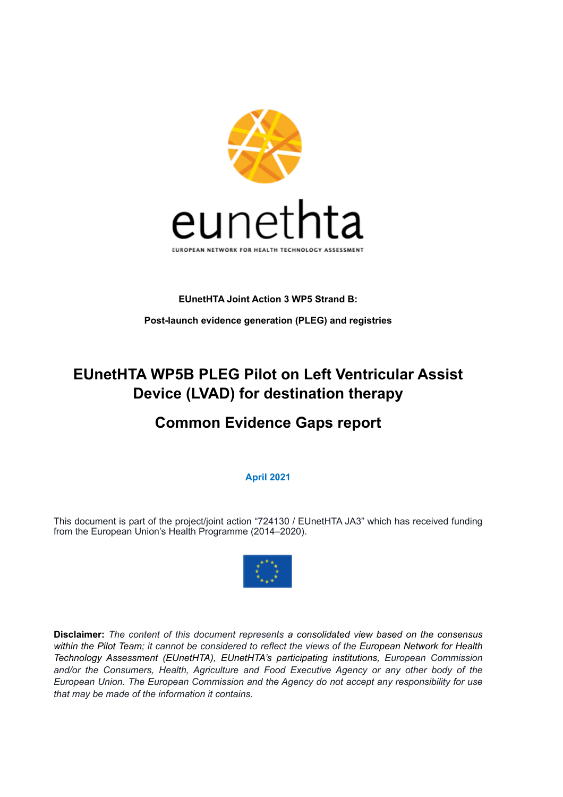

#### **EUnetHTA Joint Action 3 WP5 Strand B:**

**Post-launch evidence generation (PLEG) and registries**

# **EUnetHTA WP5B PLEG Pilot on Left Ventricular Assist Device (LVAD) for destination therapy**

# **Common Evidence Gaps report**

### **April 2021**

This document is part of the project/joint action "724130 / EUnetHTA JA3" which has received funding from the European Union's Health Programme (2014–2020).



**Disclaimer:** *The content of this document represents a consolidated view based on the consensus within the Pilot Team; it cannot be considered to reflect the views of the European Network for Health Technology Assessment (EUnetHTA), EUnetHTA's participating institutions, European Commission and/or the Consumers, Health, Agriculture and Food Executive Agency or any other body of the European Union. The European Commission and the Agency do not accept any responsibility for use that may be made of the information it contains.*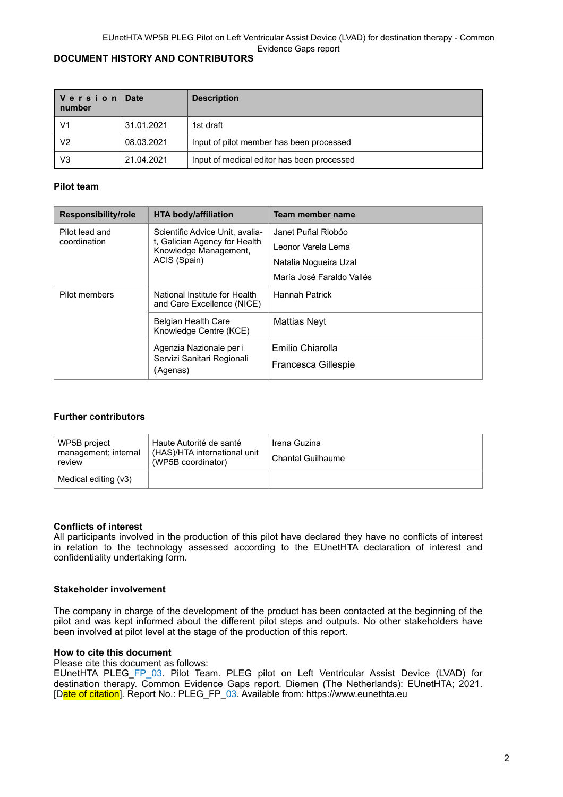#### **DOCUMENT HISTORY AND CONTRIBUTORS**

| │ V e r s i o n │ Date<br>number |            | <b>Description</b>                         |
|----------------------------------|------------|--------------------------------------------|
| V <sub>1</sub>                   | 31.01.2021 | 1st draft                                  |
| V <sub>2</sub>                   | 08.03.2021 | Input of pilot member has been processed   |
| V <sub>3</sub>                   | 21.04.2021 | Input of medical editor has been processed |

#### **Pilot team**

| Responsibility/role | <b>HTA body/affiliation</b>                                       | Team member name                        |
|---------------------|-------------------------------------------------------------------|-----------------------------------------|
| Pilot lead and      | Scientific Advice Unit. avalia-                                   | Janet Puñal Riobóo                      |
| coordination        | t, Galician Agency for Health<br>Knowledge Management,            | Leonor Varela Lema                      |
|                     | ACIS (Spain)                                                      | Natalia Nogueira Uzal                   |
|                     |                                                                   | María José Faraldo Vallés               |
| Pilot members       | National Institute for Health<br>and Care Excellence (NICE)       | <b>Hannah Patrick</b>                   |
|                     | <b>Belgian Health Care</b><br>Knowledge Centre (KCE)              | Mattias Neyt                            |
|                     | Agenzia Nazionale per i<br>Servizi Sanitari Regionali<br>(Agenas) | Emilio Chiarolla<br>Francesca Gillespie |

#### **Further contributors**

| WP5B project<br>management; internal<br>review | Haute Autorité de santé<br>(HAS)/HTA international unit<br>(WP5B coordinator) | Irena Guzina<br><b>Chantal Guilhaume</b> |
|------------------------------------------------|-------------------------------------------------------------------------------|------------------------------------------|
| Medical editing (v3)                           |                                                                               |                                          |

#### **Conflicts of interest**

All participants involved in the production of this pilot have declared they have no conflicts of interest in relation to the technology assessed according to the EUnetHTA declaration of interest and confidentiality undertaking form.

#### **Stakeholder involvement**

The company in charge of the development of the product has been contacted at the beginning of the pilot and was kept informed about the different pilot steps and outputs. No other stakeholders have been involved at pilot level at the stage of the production of this report.

#### **How to cite this document**

Please cite this document as follows:

EUnetHTA PLEG\_FP\_03. Pilot Team. PLEG pilot on Left Ventricular Assist Device (LVAD) for destination therapy. Common Evidence Gaps report. Diemen (The Netherlands): EUnetHTA; 2021. [Date of citation]. Report No.: PLEG\_FP\_03. Available from: https://www.eunethta.eu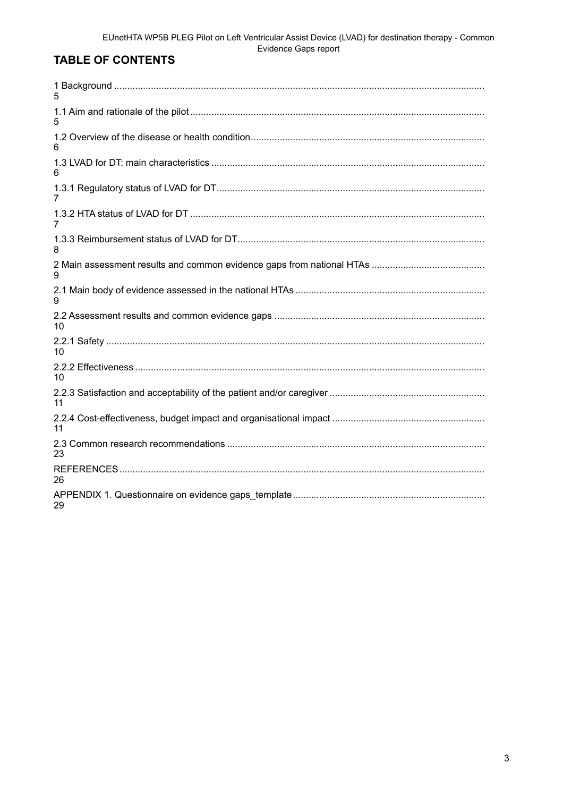# **TABLE OF CONTENTS**

| 5  |
|----|
|    |
| 6  |
| 6  |
| 7  |
|    |
| 8  |
| 9  |
| 9  |
| 10 |
| 10 |
| 10 |
| 11 |
| 11 |
| 23 |
| 26 |
| 29 |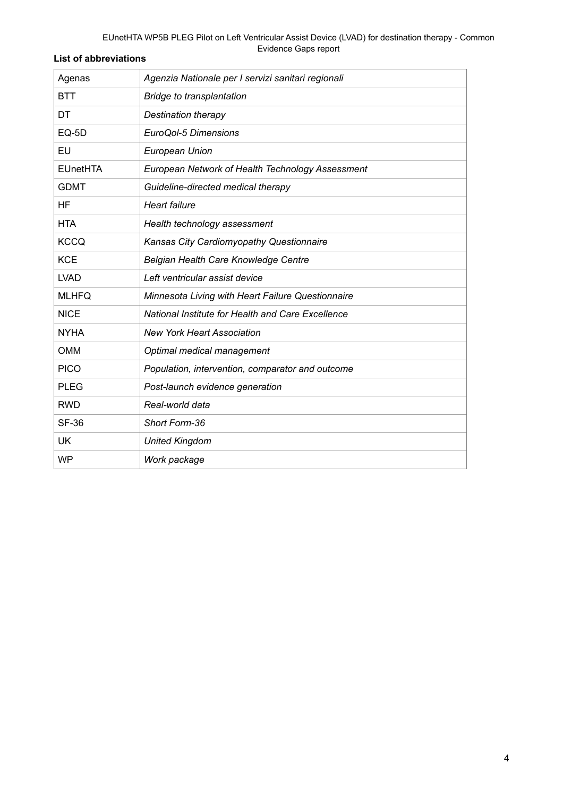## **List of abbreviations**

| Agenas          | Agenzia Nationale per I servizi sanitari regionali       |
|-----------------|----------------------------------------------------------|
| <b>BTT</b>      | Bridge to transplantation                                |
| DT              | <b>Destination therapy</b>                               |
| EQ-5D           | EuroQol-5 Dimensions                                     |
| EU              | <b>European Union</b>                                    |
| <b>EUnetHTA</b> | European Network of Health Technology Assessment         |
| <b>GDMT</b>     | Guideline-directed medical therapy                       |
| ΗF              | <b>Heart failure</b>                                     |
| <b>HTA</b>      | Health technology assessment                             |
| <b>KCCQ</b>     | Kansas City Cardiomyopathy Questionnaire                 |
| <b>KCE</b>      | Belgian Health Care Knowledge Centre                     |
| <b>LVAD</b>     | Left ventricular assist device                           |
| <b>MLHFQ</b>    | Minnesota Living with Heart Failure Questionnaire        |
| <b>NICE</b>     | <b>National Institute for Health and Care Excellence</b> |
| <b>NYHA</b>     | <b>New York Heart Association</b>                        |
| <b>OMM</b>      | Optimal medical management                               |
| <b>PICO</b>     | Population, intervention, comparator and outcome         |
| <b>PLEG</b>     | Post-launch evidence generation                          |
| <b>RWD</b>      | Real-world data                                          |
| <b>SF-36</b>    | Short Form-36                                            |
| <b>UK</b>       | <b>United Kingdom</b>                                    |
| <b>WP</b>       | Work package                                             |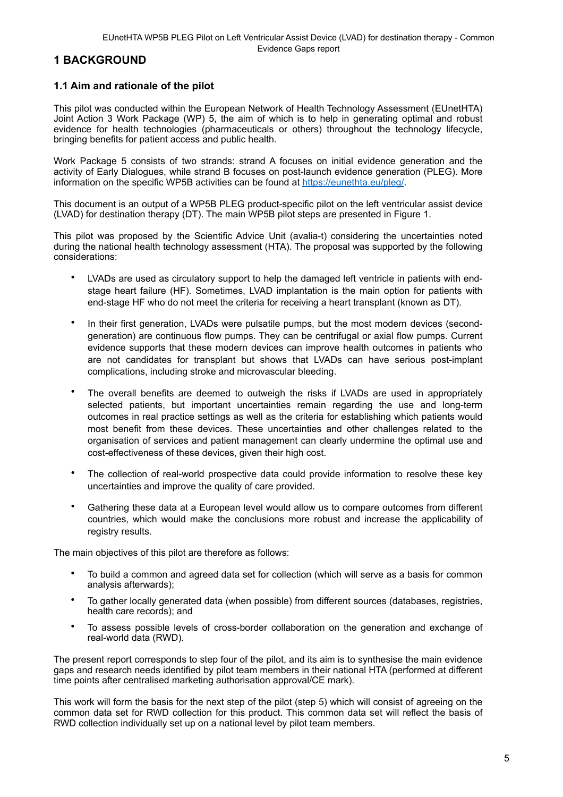# <span id="page-4-0"></span>**1 BACKGROUND**

## <span id="page-4-1"></span>**1.1 Aim and rationale of the pilot**

This pilot was conducted within the European Network of Health Technology Assessment (EUnetHTA) Joint Action 3 Work Package (WP) 5, the aim of which is to help in generating optimal and robust evidence for health technologies (pharmaceuticals or others) throughout the technology lifecycle, bringing benefits for patient access and public health.

Work Package 5 consists of two strands: strand A focuses on initial evidence generation and the activity of Early Dialogues, while strand B focuses on post-launch evidence generation (PLEG). More information on the specific WP5B activities can be found at [https://eunethta.eu/pleg/.](https://eunethta.eu/pleg/)

This document is an output of a WP5B PLEG product-specific pilot on the left ventricular assist device (LVAD) for destination therapy (DT). The main WP5B pilot steps are presented in Figure 1.

This pilot was proposed by the Scientific Advice Unit (avalia-t) considering the uncertainties noted during the national health technology assessment (HTA). The proposal was supported by the following considerations:

- LVADs are used as circulatory support to help the damaged left ventricle in patients with endstage heart failure (HF). Sometimes, LVAD implantation is the main option for patients with end-stage HF who do not meet the criteria for receiving a heart transplant (known as DT).
- In their first generation, LVADs were pulsatile pumps, but the most modern devices (secondgeneration) are continuous flow pumps. They can be centrifugal or axial flow pumps. Current evidence supports that these modern devices can improve health outcomes in patients who are not candidates for transplant but shows that LVADs can have serious post-implant complications, including stroke and microvascular bleeding.
- The overall benefits are deemed to outweigh the risks if LVADs are used in appropriately selected patients, but important uncertainties remain regarding the use and long-term outcomes in real practice settings as well as the criteria for establishing which patients would most benefit from these devices. These uncertainties and other challenges related to the organisation of services and patient management can clearly undermine the optimal use and cost-effectiveness of these devices, given their high cost.
- The collection of real-world prospective data could provide information to resolve these key uncertainties and improve the quality of care provided.
- Gathering these data at a European level would allow us to compare outcomes from different countries, which would make the conclusions more robust and increase the applicability of registry results.

The main objectives of this pilot are therefore as follows:

- To build a common and agreed data set for collection (which will serve as a basis for common analysis afterwards);
- To gather locally generated data (when possible) from different sources (databases, registries, health care records); and
- To assess possible levels of cross-border collaboration on the generation and exchange of real-world data (RWD).

The present report corresponds to step four of the pilot, and its aim is to synthesise the main evidence gaps and research needs identified by pilot team members in their national HTA (performed at different time points after centralised marketing authorisation approval/CE mark).

This work will form the basis for the next step of the pilot (step 5) which will consist of agreeing on the common data set for RWD collection for this product. This common data set will reflect the basis of RWD collection individually set up on a national level by pilot team members.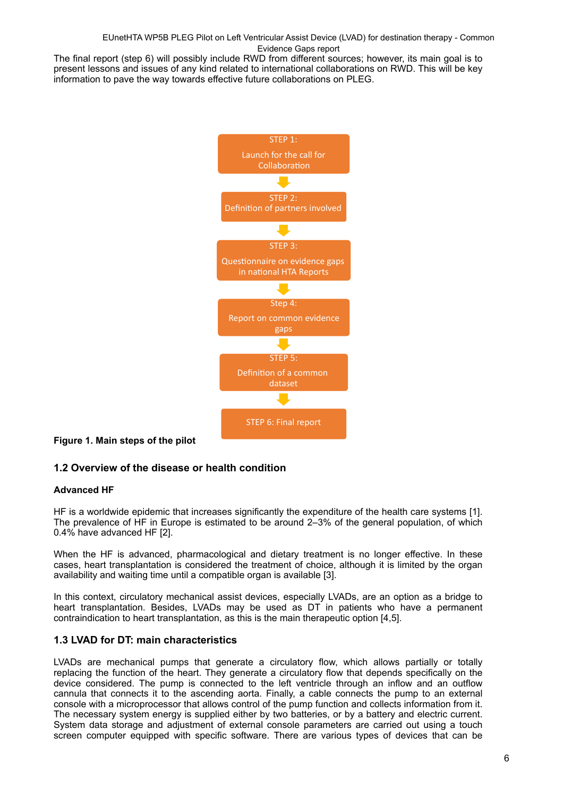The final report (step 6) will possibly include RWD from different sources; however, its main goal is to present lessons and issues of any kind related to international collaborations on RWD. This will be key information to pave the way towards effective future collaborations on PLEG.



**Figure 1. Main steps of the pilot**

## <span id="page-5-0"></span>**1.2 Overview of the disease or health condition**

#### **Advanced HF**

HF is a worldwide epidemic that increases significantly the expenditure of the health care systems [1]. The prevalence of HF in Europe is estimated to be around 2–3% of the general population, of which 0.4% have advanced HF [2].

When the HF is advanced, pharmacological and dietary treatment is no longer effective. In these cases, heart transplantation is considered the treatment of choice, although it is limited by the organ availability and waiting time until a compatible organ is available [3].

In this context, circulatory mechanical assist devices, especially LVADs, are an option as a bridge to heart transplantation. Besides, LVADs may be used as DT in patients who have a permanent contraindication to heart transplantation, as this is the main therapeutic option [4,5].

#### <span id="page-5-1"></span>**1.3 LVAD for DT: main characteristics**

LVADs are mechanical pumps that generate a circulatory flow, which allows partially or totally replacing the function of the heart. They generate a circulatory flow that depends specifically on the device considered. The pump is connected to the left ventricle through an inflow and an outflow cannula that connects it to the ascending aorta. Finally, a cable connects the pump to an external console with a microprocessor that allows control of the pump function and collects information from it. The necessary system energy is supplied either by two batteries, or by a battery and electric current. System data storage and adjustment of external console parameters are carried out using a touch screen computer equipped with specific software. There are various types of devices that can be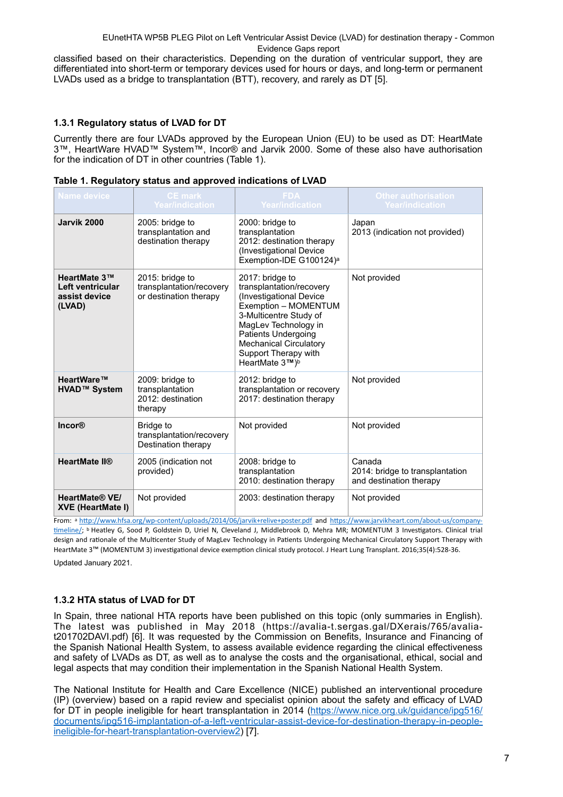classified based on their characteristics. Depending on the duration of ventricular support, they are differentiated into short-term or temporary devices used for hours or days, and long-term or permanent LVADs used as a bridge to transplantation (BTT), recovery, and rarely as DT [5].

#### <span id="page-6-0"></span>**1.3.1 Regulatory status of LVAD for DT**

Currently there are four LVADs approved by the European Union (EU) to be used as DT: HeartMate 3™, HeartWare HVAD™ System™, Incor® and Jarvik 2000. Some of these also have authorisation for the indication of DT in other countries (Table 1).

| <b>Name device</b>                                          | <b>CE</b> mark<br>Year/indication                                     | <b>FDA</b><br><b>Year/indication</b>                                                                                                                                                                                                                      | <b>Other authorisation</b><br><b>Year/indication</b>                 |
|-------------------------------------------------------------|-----------------------------------------------------------------------|-----------------------------------------------------------------------------------------------------------------------------------------------------------------------------------------------------------------------------------------------------------|----------------------------------------------------------------------|
| Jarvik 2000                                                 | 2005: bridge to<br>transplantation and<br>destination therapy         | 2000: bridge to<br>transplantation<br>2012: destination therapy<br>(Investigational Device<br>Exemption-IDE G100124) <sup>a</sup>                                                                                                                         | Japan<br>2013 (indication not provided)                              |
| HeartMate 3™<br>Left ventricular<br>assist device<br>(LVAD) | 2015: bridge to<br>transplantation/recovery<br>or destination therapy | 2017: bridge to<br>transplantation/recovery<br>(Investigational Device<br>Exemption - MOMENTUM<br>3-Multicentre Study of<br>MagLev Technology in<br><b>Patients Undergoing</b><br><b>Mechanical Circulatory</b><br>Support Therapy with<br>HeartMate 3™)b | Not provided                                                         |
| HeartWare™<br>HVAD™ System                                  | 2009: bridge to<br>transplantation<br>2012: destination<br>therapy    | 2012: bridge to<br>transplantation or recovery<br>2017: destination therapy                                                                                                                                                                               | Not provided                                                         |
| <b>Incor®</b>                                               | Bridge to<br>transplantation/recovery<br>Destination therapy          | Not provided                                                                                                                                                                                                                                              | Not provided                                                         |
| <b>HeartMate II®</b>                                        | 2005 (indication not<br>provided)                                     | 2008: bridge to<br>transplantation<br>2010: destination therapy                                                                                                                                                                                           | Canada<br>2014: bridge to transplantation<br>and destination therapy |
| <b>HeartMate® VE/</b><br><b>XVE (HeartMate I)</b>           | Not provided                                                          | 2003: destination therapy                                                                                                                                                                                                                                 | Not provided                                                         |

|  |  | Table 1. Regulatory status and approved indications of LVAD |  |  |
|--|--|-------------------------------------------------------------|--|--|
|--|--|-------------------------------------------------------------|--|--|

From: a <http://www.hfsa.org/wp-content/uploads/2014/06/jarvik+relive+poster.pdf>and [https://www.jarvikheart.com/about-us/company](https://www.jarvikheart.com/about-us/company-timeline/)[timeline/](https://www.jarvikheart.com/about-us/company-timeline/); b Heatley G, Sood P, Goldstein D, Uriel N, Cleveland J, Middlebrook D, Mehra MR; MOMENTUM 3 Investigators. Clinical trial design and rationale of the Multicenter Study of MagLev Technology in Patients Undergoing Mechanical Circulatory Support Therapy with HeartMate 3™ (MOMENTUM 3) investigational device exemption clinical study protocol. J Heart Lung Transplant. 2016;35(4):528-36.

Updated January 2021.

#### <span id="page-6-1"></span>**1.3.2 HTA status of LVAD for DT**

In Spain, three national HTA reports have been published on this topic (only summaries in English). The latest was published in May 2018 ([https://avalia-t.sergas.gal/DXerais/765/avalia](https://avalia-t.sergas.gal/DXerais/765/avalia-t201702DAVI.pdf)[t201702DAVI.pdf](https://avalia-t.sergas.gal/DXerais/765/avalia-t201702DAVI.pdf)) [6]. It was requested by the Commission on Benefits, Insurance and Financing of the Spanish National Health System, to assess available evidence regarding the clinical effectiveness and safety of LVADs as DT, as well as to analyse the costs and the organisational, ethical, social and legal aspects that may condition their implementation in the Spanish National Health System.

The National Institute for Health and Care Excellence (NICE) published an interventional procedure (IP) (overview) based on a rapid review and specialist opinion about the safety and efficacy of LVAD for DT in people ineligible for heart transplantation in 2014 [\(https://www.nice.org.uk/guidance/ipg516/](https://www.nice.org.uk/guidance/ipg516/documents/ipg516-implantation-of-a-left-ventricular-assist-device-for-destination-therapy-in-people-ineligible-for-heart-transplantation-overview2) [documents/ipg516-implantation-of-a-left-ventricular-assist-device-for-destination-therapy-in-people](https://www.nice.org.uk/guidance/ipg516/documents/ipg516-implantation-of-a-left-ventricular-assist-device-for-destination-therapy-in-people-ineligible-for-heart-transplantation-overview2)[ineligible-for-heart-transplantation-overview2](https://www.nice.org.uk/guidance/ipg516/documents/ipg516-implantation-of-a-left-ventricular-assist-device-for-destination-therapy-in-people-ineligible-for-heart-transplantation-overview2)) [7].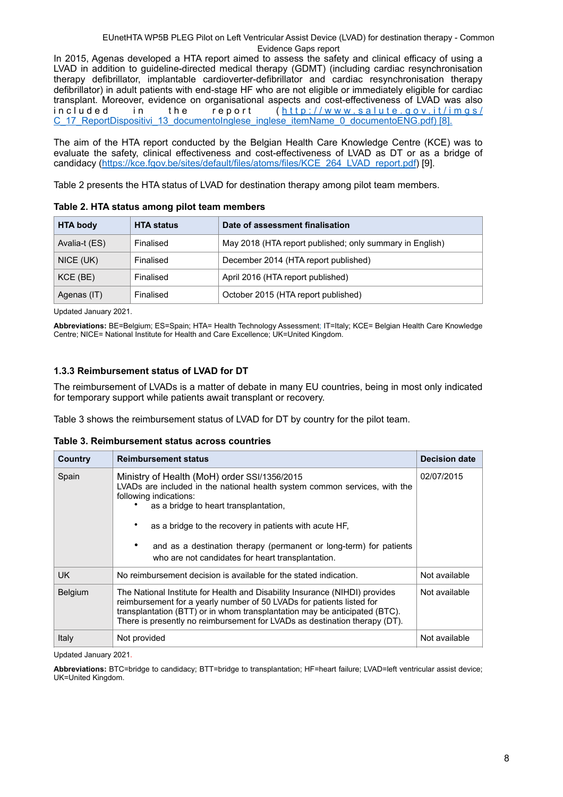In 2015, Agenas developed a HTA report aimed to assess the safety and clinical efficacy of using a LVAD in addition to guideline-directed medical therapy (GDMT) (including cardiac resynchronisation therapy defibrillator, implantable cardioverter-defibrillator and cardiac resynchronisation therapy defibrillator) in adult patients with end-stage HF who are not eligible or immediately eligible for cardiac transplant. Moreover, evidence on organisational aspects and cost-effectiveness of LVAD was also<br>in cluded in the report (http://www.salute.gov.it/imgs/ in the report ([http://www.salute.gov.it/imgs/](http://www.salute.gov.it/imgs/C_17_ReportDispositivi_13_documentoInglese_inglese_itemName_0_documentoENG.pdf) [C\\_17\\_ReportDispositivi\\_13\\_documentoInglese\\_inglese\\_itemName\\_0\\_documentoENG.pdf\) \[8\].](http://www.salute.gov.it/imgs/C_17_ReportDispositivi_13_documentoInglese_inglese_itemName_0_documentoENG.pdf)

The aim of the HTA report conducted by the Belgian Health Care Knowledge Centre (KCE) was to evaluate the safety, clinical effectiveness and cost-effectiveness of LVAD as DT or as a bridge of candidacy ([https://kce.fgov.be/sites/default/files/atoms/files/KCE\\_264\\_LVAD\\_report.pdf\)](https://kce.fgov.be/sites/default/files/atoms/files/KCE_264_LVAD_report.pdf) [9].

Table 2 presents the HTA status of LVAD for destination therapy among pilot team members.

| <b>HTA body</b> | <b>HTA status</b> | Date of assessment finalisation                          |
|-----------------|-------------------|----------------------------------------------------------|
| Avalia-t (ES)   | Finalised         | May 2018 (HTA report published; only summary in English) |
| NICE (UK)       | Finalised         | December 2014 (HTA report published)                     |
| KCE (BE)        | Finalised         | April 2016 (HTA report published)                        |
| Agenas (IT)     | Finalised         | October 2015 (HTA report published)                      |

**Table 2. HTA status among pilot team members**

Updated January 2021.

**Abbreviations:** BE=Belgium; ES=Spain; HTA= Health Technology Assessment; IT=Italy; KCE= Belgian Health Care Knowledge Centre; NICE= National Institute for Health and Care Excellence; UK=United Kingdom.

#### <span id="page-7-0"></span>**1.3.3 Reimbursement status of LVAD for DT**

The reimbursement of LVADs is a matter of debate in many EU countries, being in most only indicated for temporary support while patients await transplant or recovery.

Table 3 shows the reimbursement status of LVAD for DT by country for the pilot team.

**Table 3. Reimbursement status across countries**

| Country        | <b>Reimbursement status</b>                                                                                                                                                                                                                                                                                                                                                                  | <b>Decision date</b> |
|----------------|----------------------------------------------------------------------------------------------------------------------------------------------------------------------------------------------------------------------------------------------------------------------------------------------------------------------------------------------------------------------------------------------|----------------------|
| Spain          | Ministry of Health (MoH) order SSI/1356/2015<br>LVADs are included in the national health system common services, with the<br>following indications:<br>as a bridge to heart transplantation,<br>as a bridge to the recovery in patients with acute HF.<br>٠<br>and as a destination therapy (permanent or long-term) for patients<br>٠<br>who are not candidates for heart transplantation. | 02/07/2015           |
| UK.            | No reimbursement decision is available for the stated indication.                                                                                                                                                                                                                                                                                                                            | Not available        |
| <b>Belgium</b> | The National Institute for Health and Disability Insurance (NIHDI) provides<br>reimbursement for a yearly number of 50 LVADs for patients listed for<br>transplantation (BTT) or in whom transplantation may be anticipated (BTC).<br>There is presently no reimbursement for LVADs as destination therapy (DT).                                                                             | Not available        |
| Italy          | Not provided                                                                                                                                                                                                                                                                                                                                                                                 | Not available        |

Updated January 2021.

**Abbreviations:** BTC=bridge to candidacy; BTT=bridge to transplantation; HF=heart failure; LVAD=left ventricular assist device; UK=United Kingdom.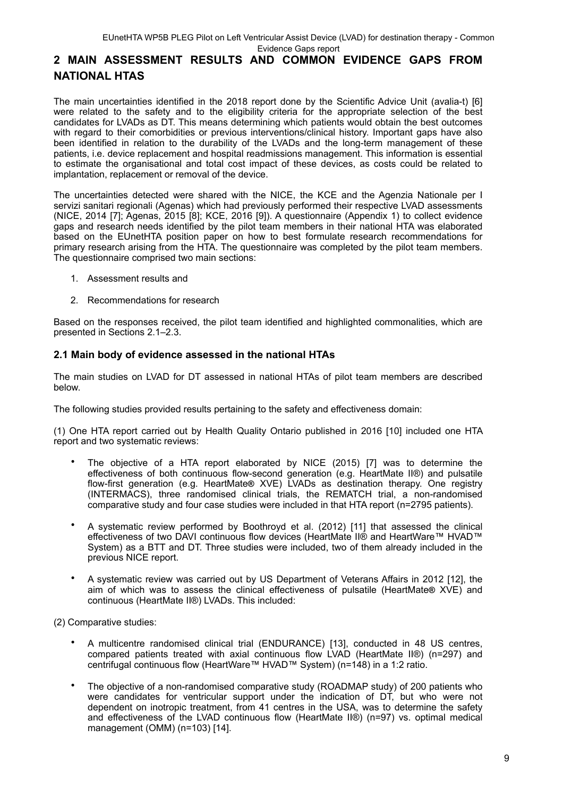Evidence Gaps report

# <span id="page-8-0"></span>**2 MAIN ASSESSMENT RESULTS AND COMMON EVIDENCE GAPS FROM NATIONAL HTAS**

The main uncertainties identified in the 2018 report done by the Scientific Advice Unit (avalia-t) [6] were related to the safety and to the eligibility criteria for the appropriate selection of the best candidates for LVADs as DT. This means determining which patients would obtain the best outcomes with regard to their comorbidities or previous interventions/clinical history. Important gaps have also been identified in relation to the durability of the LVADs and the long-term management of these patients, i.e. device replacement and hospital readmissions management. This information is essential to estimate the organisational and total cost impact of these devices, as costs could be related to implantation, replacement or removal of the device.

The uncertainties detected were shared with the NICE, the KCE and the Agenzia Nationale per I servizi sanitari regionali (Agenas) which had previously performed their respective LVAD assessments (NICE, 2014 [7]; Agenas, 2015 [8]; KCE, 2016 [9]). A questionnaire (Appendix 1) to collect evidence gaps and research needs identified by the pilot team members in their national HTA was elaborated based on the EUnetHTA position paper on how to best formulate research recommendations for primary research arising from the HTA. The questionnaire was completed by the pilot team members. The questionnaire comprised two main sections:

- 1. Assessment results and
- 2. Recommendations for research

Based on the responses received, the pilot team identified and highlighted commonalities, which are presented in Sections 2.1–2.3.

## <span id="page-8-1"></span>**2.1 Main body of evidence assessed in the national HTAs**

The main studies on LVAD for DT assessed in national HTAs of pilot team members are described below.

The following studies provided results pertaining to the safety and effectiveness domain:

(1) One HTA report carried out by Health Quality Ontario published in 2016 [10] included one HTA report and two systematic reviews:

- The objective of a HTA report elaborated by NICE (2015) [7] was to determine the effectiveness of both continuous flow-second generation (e.g. HeartMate II®) and pulsatile flow-first generation (e.g. HeartMate**®** XVE) LVADs as destination therapy. One registry  $(INTERMACS)$ , three randomised clinical trials, the REMATCH trial, a non-randomised comparative study and four case studies were included in that HTA report (n=2795 patients).
- A systematic review performed by Boothroyd et al. (2012) [11] that assessed the clinical effectiveness of two DAVI continuous flow devices (HeartMate II® and HeartWare™ HVAD™ System) as a BTT and DT. Three studies were included, two of them already included in the previous NICE report.
- A systematic review was carried out by US Department of Veterans Affairs in 2012 [12], the aim of which was to assess the clinical effectiveness of pulsatile (HeartMate**®** XVE) and continuous (HeartMate II®) LVADs. This included:

(2) Comparative studies:

- A multicentre randomised clinical trial (ENDURANCE) [13], conducted in 48 US centres, compared patients treated with axial continuous flow LVAD (HeartMate II®) (n=297) and centrifugal continuous flow (HeartWare™ HVAD™ System) (n=148) in a 1:2 ratio.
- The objective of a non-randomised comparative study (ROADMAP study) of 200 patients who were candidates for ventricular support under the indication of DT, but who were not dependent on inotropic treatment, from 41 centres in the USA, was to determine the safety and effectiveness of the LVAD continuous flow (HeartMate II®) (n=97) vs. optimal medical management (OMM) (n=103) [14].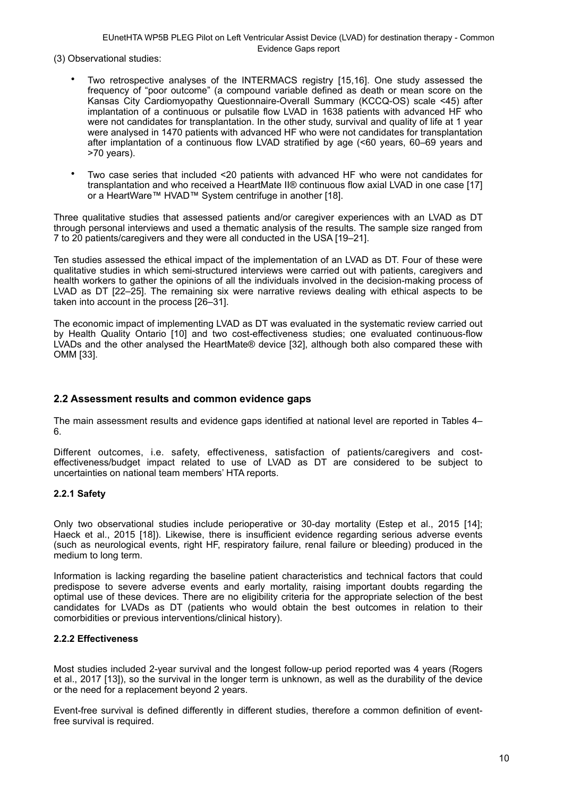(3) Observational studies:

- Two retrospective analyses of the INTERMACS registry [15,16]. One study assessed the frequency of "poor outcome" (a compound variable defined as death or mean score on the Kansas City Cardiomyopathy Questionnaire-Overall Summary (KCCQ-OS) scale <45) after implantation of a continuous or pulsatile flow LVAD in 1638 patients with advanced HF who were not candidates for transplantation. In the other study, survival and quality of life at 1 year were analysed in 1470 patients with advanced HF who were not candidates for transplantation after implantation of a continuous flow LVAD stratified by age (<60 years, 60–69 years and >70 years).
- Two case series that included <20 patients with advanced HF who were not candidates for transplantation and who received a HeartMate II® continuous flow axial LVAD in one case [17] or a HeartWare™ HVAD™ System centrifuge in another [18].

Three qualitative studies that assessed patients and/or caregiver experiences with an LVAD as DT through personal interviews and used a thematic analysis of the results. The sample size ranged from 7 to 20 patients/caregivers and they were all conducted in the USA [19–21].

Ten studies assessed the ethical impact of the implementation of an LVAD as DT. Four of these were qualitative studies in which semi-structured interviews were carried out with patients, caregivers and health workers to gather the opinions of all the individuals involved in the decision-making process of LVAD as DT [22–25]. The remaining six were narrative reviews dealing with ethical aspects to be taken into account in the process [26–31].

The economic impact of implementing LVAD as DT was evaluated in the systematic review carried out by Health Quality Ontario [10] and two cost-effectiveness studies; one evaluated continuous-flow LVADs and the other analysed the HeartMate® device [32], although both also compared these with OMM [33].

#### <span id="page-9-0"></span>**2.2 Assessment results and common evidence gaps**

The main assessment results and evidence gaps identified at national level are reported in Tables 4– 6.

Different outcomes, i.e. safety, effectiveness, satisfaction of patients/caregivers and costeffectiveness/budget impact related to use of LVAD as DT are considered to be subject to uncertainties on national team members' HTA reports.

#### <span id="page-9-1"></span>**2.2.1 Safety**

Only two observational studies include perioperative or 30-day mortality (Estep et al., 2015 [14]; Haeck et al., 2015 [18]). Likewise, there is insufficient evidence regarding serious adverse events (such as neurological events, right HF, respiratory failure, renal failure or bleeding) produced in the medium to long term.

Information is lacking regarding the baseline patient characteristics and technical factors that could predispose to severe adverse events and early mortality, raising important doubts regarding the optimal use of these devices. There are no eligibility criteria for the appropriate selection of the best candidates for LVADs as DT (patients who would obtain the best outcomes in relation to their comorbidities or previous interventions/clinical history).

#### <span id="page-9-2"></span>**2.2.2 Effectiveness**

Most studies included 2-year survival and the longest follow-up period reported was 4 years (Rogers et al., 2017 [13]), so the survival in the longer term is unknown, as well as the durability of the device or the need for a replacement beyond 2 years.

Event-free survival is defined differently in different studies, therefore a common definition of eventfree survival is required.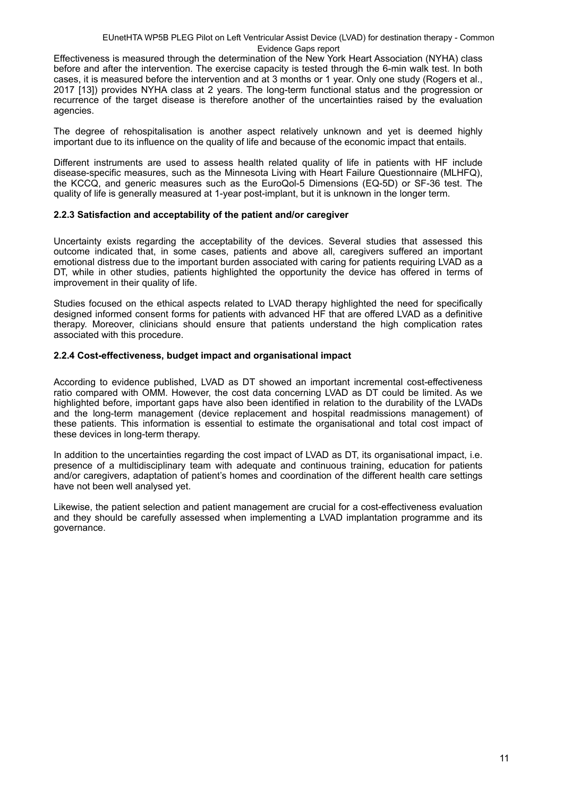Effectiveness is measured through the determination of the New York Heart Association (NYHA) class before and after the intervention. The exercise capacity is tested through the 6-min walk test. In both cases, it is measured before the intervention and at 3 months or 1 year. Only one study (Rogers et al., 2017 [13]) provides NYHA class at 2 years. The long-term functional status and the progression or recurrence of the target disease is therefore another of the uncertainties raised by the evaluation agencies.

The degree of rehospitalisation is another aspect relatively unknown and yet is deemed highly important due to its influence on the quality of life and because of the economic impact that entails.

Different instruments are used to assess health related quality of life in patients with HF include disease-specific measures, such as the Minnesota Living with Heart Failure Questionnaire (MLHFQ), the KCCQ, and generic measures such as the EuroQol-5 Dimensions (EQ-5D) or SF-36 test. The quality of life is generally measured at 1-year post-implant, but it is unknown in the longer term.

#### <span id="page-10-0"></span>**2.2.3 Satisfaction and acceptability of the patient and/or caregiver**

Uncertainty exists regarding the acceptability of the devices. Several studies that assessed this outcome indicated that, in some cases, patients and above all, caregivers suffered an important emotional distress due to the important burden associated with caring for patients requiring LVAD as a DT, while in other studies, patients highlighted the opportunity the device has offered in terms of improvement in their quality of life.

Studies focused on the ethical aspects related to LVAD therapy highlighted the need for specifically designed informed consent forms for patients with advanced HF that are offered LVAD as a definitive therapy. Moreover, clinicians should ensure that patients understand the high complication rates associated with this procedure.

#### <span id="page-10-1"></span>**2.2.4 Cost-effectiveness, budget impact and organisational impact**

According to evidence published, LVAD as DT showed an important incremental cost-effectiveness ratio compared with OMM. However, the cost data concerning LVAD as DT could be limited. As we highlighted before, important gaps have also been identified in relation to the durability of the LVADs and the long-term management (device replacement and hospital readmissions management) of these patients. This information is essential to estimate the organisational and total cost impact of these devices in long-term therapy.

In addition to the uncertainties regarding the cost impact of LVAD as DT, its organisational impact, i.e. presence of a multidisciplinary team with adequate and continuous training, education for patients and/or caregivers, adaptation of patient's homes and coordination of the different health care settings have not been well analysed yet.

Likewise, the patient selection and patient management are crucial for a cost-effectiveness evaluation and they should be carefully assessed when implementing a LVAD implantation programme and its governance.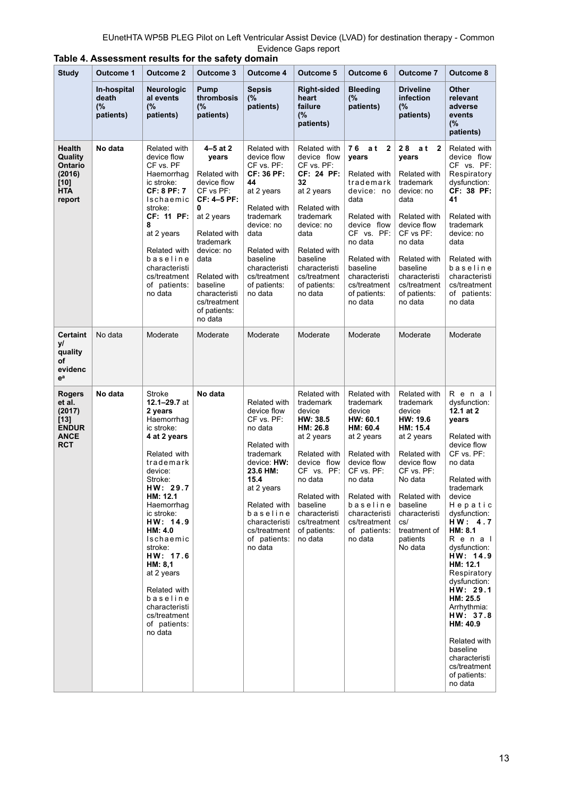| <b>Study</b>                                                                           | <b>Outcome 1</b>                        | <b>Outcome 2</b>                                                                                                                                                                                                                                                                                                                                                 | <b>Outcome 3</b>                                                                                                                                                                                                                               | <b>Outcome 4</b>                                                                                                                                                                                                           | <b>Outcome 5</b>                                                                                                                                                                                                          | Outcome 6                                                                                                                                                                                                                           | <b>Outcome 7</b>                                                                                                                                                                                                                      | Outcome 8                                                                                                                                                                                                                                                                                                                                                                                                                          |
|----------------------------------------------------------------------------------------|-----------------------------------------|------------------------------------------------------------------------------------------------------------------------------------------------------------------------------------------------------------------------------------------------------------------------------------------------------------------------------------------------------------------|------------------------------------------------------------------------------------------------------------------------------------------------------------------------------------------------------------------------------------------------|----------------------------------------------------------------------------------------------------------------------------------------------------------------------------------------------------------------------------|---------------------------------------------------------------------------------------------------------------------------------------------------------------------------------------------------------------------------|-------------------------------------------------------------------------------------------------------------------------------------------------------------------------------------------------------------------------------------|---------------------------------------------------------------------------------------------------------------------------------------------------------------------------------------------------------------------------------------|------------------------------------------------------------------------------------------------------------------------------------------------------------------------------------------------------------------------------------------------------------------------------------------------------------------------------------------------------------------------------------------------------------------------------------|
|                                                                                        | In-hospital<br>death<br>(%<br>patients) | <b>Neurologic</b><br>al events<br>(%<br>patients)                                                                                                                                                                                                                                                                                                                | Pump<br>thrombosis<br>(%<br>patients)                                                                                                                                                                                                          | <b>Sepsis</b><br>(%<br>patients)                                                                                                                                                                                           | <b>Right-sided</b><br>heart<br>failure<br>(%<br>patients)                                                                                                                                                                 | <b>Bleeding</b><br>(%<br>patients)                                                                                                                                                                                                  | <b>Driveline</b><br>infection<br>(%<br>patients)                                                                                                                                                                                      | Other<br>relevant<br>adverse<br>events<br>(%<br>patients)                                                                                                                                                                                                                                                                                                                                                                          |
| Health<br>Quality<br><b>Ontario</b><br>(2016)<br>[10]<br><b>HTA</b><br>report          | No data                                 | Related with<br>device flow<br>CF vs. PF<br>Haemorrhag<br>ic stroke:<br>CF: 8 PF: 7<br>Ischaemic<br>stroke:<br>CF: 11 PF:<br>8<br>at 2 years<br>Related with<br>baseline<br>characteristi<br>cs/treatment<br>of patients:<br>no data                                                                                                                             | $4 - 5$ at 2<br>years<br>Related with<br>device flow<br>CF vs PF:<br>CF: 4-5 PF:<br>0<br>at 2 years<br>Related with<br>trademark<br>device: no<br>data<br>Related with<br>baseline<br>characteristi<br>cs/treatment<br>of patients:<br>no data | Related with<br>device flow<br>CF vs. PF:<br>CF: 36 PF:<br>44<br>at 2 years<br>Related with<br>trademark<br>device: no<br>data<br>Related with<br>baseline<br>characteristi<br>cs/treatment<br>of patients:<br>no data     | Related with<br>device flow<br>CF vs. PF:<br>CF: 24 PF:<br>32<br>at 2 years<br>Related with<br>trademark<br>device: no<br>data<br>Related with<br>baseline<br>characteristi<br>cs/treatment<br>of patients:<br>no data    | 76 at<br>$\overline{2}$<br>years<br>Related with<br>trademark<br>device: no<br>data<br>Related with<br>device flow<br>CF vs. PF:<br>no data<br>Related with<br>baseline<br>characteristi<br>cs/treatment<br>of patients:<br>no data | 28<br>at <sub>2</sub><br>years<br>Related with<br>trademark<br>device: no<br>data<br>Related with<br>device flow<br>$CF$ vs $PF$ :<br>no data<br>Related with<br>baseline<br>characteristi<br>cs/treatment<br>of patients:<br>no data | Related with<br>device flow<br>CF vs. PF:<br>Respiratory<br>dysfunction:<br>CF: 38 PF:<br>41<br>Related with<br>trademark<br>device: no<br>data<br>Related with<br>baseline<br>characteristi<br>cs/treatment<br>of patients:<br>no data                                                                                                                                                                                            |
| <b>Certaint</b><br>уl<br>quality<br>οf<br>evidenc<br>ea                                | No data                                 | Moderate                                                                                                                                                                                                                                                                                                                                                         | Moderate                                                                                                                                                                                                                                       | Moderate                                                                                                                                                                                                                   | Moderate                                                                                                                                                                                                                  | Moderate                                                                                                                                                                                                                            | Moderate                                                                                                                                                                                                                              | Moderate                                                                                                                                                                                                                                                                                                                                                                                                                           |
| <b>Rogers</b><br>et al.<br>(2017)<br>[13]<br><b>ENDUR</b><br><b>ANCE</b><br><b>RCT</b> | No data                                 | Stroke<br>12.1-29.7 at<br>2 years<br>Haemorrhag<br>ic stroke:<br>4 at 2 years<br>Related with<br>trademark<br>device:<br>Stroke:<br>HW: 29.7<br>HM: 12.1<br>Haemorrhag<br>ic stroke:<br>HW: 14.9<br>HM: 4.0<br>Ischaemic<br>stroke:<br>HW: 17.6<br>HM: 8,1<br>at 2 years<br>Related with<br>baseline<br>characteristi<br>cs/treatment<br>of patients:<br>no data | No data                                                                                                                                                                                                                                        | Related with<br>device flow<br>CF vs. PF:<br>no data<br>Related with<br>trademark<br>device: HW:<br>23.6 HM:<br>15.4<br>at 2 years<br>Related with<br>baseline<br>characteristi<br>cs/treatment<br>of patients:<br>no data | Related with<br>trademark<br>device<br>HW: 38.5<br>HM: 26.8<br>at 2 years<br>Related with<br>device flow<br>CF vs. PF:<br>no data<br>Related with<br>baseline<br>characteristi<br>cs/treatment<br>of patients:<br>no data | Related with<br>trademark<br>device<br>HW: 60.1<br>HM: 60.4<br>at 2 years<br>Related with<br>device flow<br>CF vs. PF:<br>no data<br>Related with<br>baseline<br>characteristi<br>cs/treatment<br>of patients:<br>no data           | Related with<br>trademark<br>device<br>HW: 19.6<br>HM: 15.4<br>at 2 years<br>Related with<br>device flow<br>$CF$ vs. $PF$ :<br>No data<br>Related with<br>baseline<br>characteristi<br>cs/<br>treatment of<br>patients<br>No data     | Renal<br>dysfunction:<br>12.1 at 2<br>years<br>Related with<br>device flow<br>CF vs. PF:<br>no data<br>Related with<br>trademark<br>device<br>Hepatic<br>dysfunction:<br>HW: 4.7<br>HM: 8.1<br>Renal<br>dysfunction:<br>HW: 14.9<br>HM: 12.1<br>Respiratory<br>dysfunction:<br>HW: 29.1<br>HM: 25.5<br>Arrhythmia:<br>HW: 37.8<br>HM: 40.9<br>Related with<br>baseline<br>characteristi<br>cs/treatment<br>of patients:<br>no data |

| Table 4. Assessment results for the safety domain |  |  |
|---------------------------------------------------|--|--|
|---------------------------------------------------|--|--|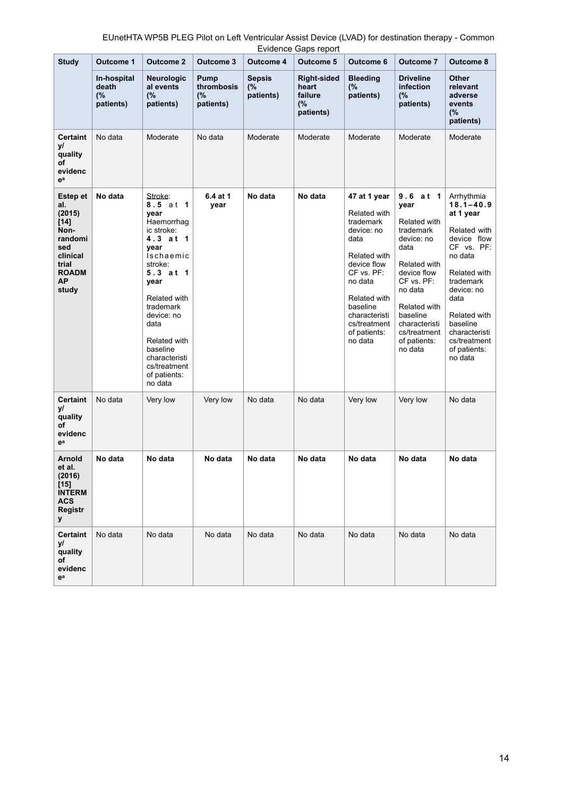|                                                                                                                        | Evidence Gaps report                    |                                                                                                                                                                                                                                                                    |                                       |                                  |                                                    |                                                                                                                                                                                                                      |                                                                                                                                                                                                                     |                                                                                                                                                                                                                                             |
|------------------------------------------------------------------------------------------------------------------------|-----------------------------------------|--------------------------------------------------------------------------------------------------------------------------------------------------------------------------------------------------------------------------------------------------------------------|---------------------------------------|----------------------------------|----------------------------------------------------|----------------------------------------------------------------------------------------------------------------------------------------------------------------------------------------------------------------------|---------------------------------------------------------------------------------------------------------------------------------------------------------------------------------------------------------------------|---------------------------------------------------------------------------------------------------------------------------------------------------------------------------------------------------------------------------------------------|
| <b>Study</b>                                                                                                           | Outcome 1                               | <b>Outcome 2</b>                                                                                                                                                                                                                                                   | <b>Outcome 3</b>                      | <b>Outcome 4</b>                 | <b>Outcome 5</b>                                   | Outcome 6                                                                                                                                                                                                            | <b>Outcome 7</b>                                                                                                                                                                                                    | Outcome 8                                                                                                                                                                                                                                   |
|                                                                                                                        | In-hospital<br>death<br>(%<br>patients) | <b>Neurologic</b><br>al events<br>(%<br>patients)                                                                                                                                                                                                                  | Pump<br>thrombosis<br>(%<br>patients) | <b>Sepsis</b><br>(%<br>patients) | Right-sided<br>heart<br>failure<br>(%<br>patients) | <b>Bleeding</b><br>(%<br>patients)                                                                                                                                                                                   | <b>Driveline</b><br>infection<br>(%<br>patients)                                                                                                                                                                    | <b>Other</b><br>relevant<br>adverse<br>events<br>(%<br>patients)                                                                                                                                                                            |
| <b>Certaint</b><br>у/<br>quality<br>οf<br>evidenc<br>ea                                                                | No data                                 | Moderate                                                                                                                                                                                                                                                           | No data                               | Moderate                         | Moderate                                           | Moderate                                                                                                                                                                                                             | Moderate                                                                                                                                                                                                            | Moderate                                                                                                                                                                                                                                    |
| Estep et<br>al.<br>(2015)<br>[14]<br>Non-<br>randomi<br>sed<br>clinical<br>trial<br><b>ROADM</b><br><b>AP</b><br>study | No data                                 | Stroke:<br>8.5 at 1<br>year<br>Haemorrhag<br>ic stroke:<br>4.3 at 1<br>year<br>Ischaemic<br>stroke:<br>5.3 at 1<br>year<br>Related with<br>trademark<br>device: no<br>data<br>Related with<br>baseline<br>characteristi<br>cs/treatment<br>of patients:<br>no data | 6.4 at 1<br>year                      | No data                          | No data                                            | 47 at 1 year<br>Related with<br>trademark<br>device: no<br>data<br>Related with<br>device flow<br>$CF$ vs. $PF$ :<br>no data<br>Related with<br>baseline<br>characteristi<br>cs/treatment<br>of patients:<br>no data | 9.6 at 1<br>year<br>Related with<br>trademark<br>device: no<br>data<br>Related with<br>device flow<br>CF vs. PF:<br>no data<br>Related with<br>baseline<br>characteristi<br>cs/treatment<br>of patients:<br>no data | Arrhythmia<br>$18.1 - 40.9$<br>at 1 year<br>Related with<br>device flow<br>CF vs. PF:<br>no data<br>Related with<br>trademark<br>device: no<br>data<br>Related with<br>baseline<br>characteristi<br>cs/treatment<br>of patients:<br>no data |
| <b>Certaint</b><br>уl<br>quality<br>οf<br>evidenc<br>ea                                                                | No data                                 | Very low                                                                                                                                                                                                                                                           | Very low                              | No data                          | No data                                            | Very low                                                                                                                                                                                                             | Very low                                                                                                                                                                                                            | No data                                                                                                                                                                                                                                     |
| <b>Arnold</b><br>et al.<br>(2016)<br>[15]<br><b>INTERM</b><br><b>ACS</b><br><b>Registr</b><br>У                        | No data                                 | No data                                                                                                                                                                                                                                                            | No data                               | No data                          | No data                                            | No data                                                                                                                                                                                                              | No data                                                                                                                                                                                                             | No data                                                                                                                                                                                                                                     |
| <b>Certaint</b><br>уl<br>quality<br>οf<br>evidenc<br>eª                                                                | No data                                 | No data                                                                                                                                                                                                                                                            | No data                               | No data                          | No data                                            | No data                                                                                                                                                                                                              | No data                                                                                                                                                                                                             | No data                                                                                                                                                                                                                                     |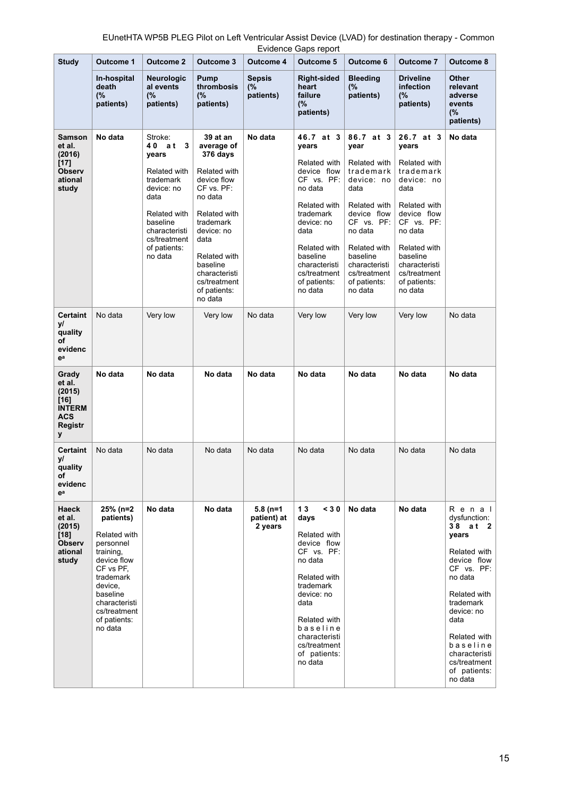|                                                                           |                                                                                                                                                                                             |                                                                                                                                                                           |                                                                                                                                                                                                                                            |                                      | Evidence Gaps report                                                                                                                                                                                                  |                                                                                                                                                                                                                      |                                                                                                                                                                                                                       |                                                                                                                                                                                                                                              |
|---------------------------------------------------------------------------|---------------------------------------------------------------------------------------------------------------------------------------------------------------------------------------------|---------------------------------------------------------------------------------------------------------------------------------------------------------------------------|--------------------------------------------------------------------------------------------------------------------------------------------------------------------------------------------------------------------------------------------|--------------------------------------|-----------------------------------------------------------------------------------------------------------------------------------------------------------------------------------------------------------------------|----------------------------------------------------------------------------------------------------------------------------------------------------------------------------------------------------------------------|-----------------------------------------------------------------------------------------------------------------------------------------------------------------------------------------------------------------------|----------------------------------------------------------------------------------------------------------------------------------------------------------------------------------------------------------------------------------------------|
| <b>Study</b>                                                              | Outcome 1                                                                                                                                                                                   | <b>Outcome 2</b>                                                                                                                                                          | <b>Outcome 3</b>                                                                                                                                                                                                                           | Outcome 4                            | <b>Outcome 5</b>                                                                                                                                                                                                      | Outcome 6                                                                                                                                                                                                            | <b>Outcome 7</b>                                                                                                                                                                                                      | Outcome 8                                                                                                                                                                                                                                    |
|                                                                           | In-hospital<br>death<br>(%<br>patients)                                                                                                                                                     | <b>Neurologic</b><br>al events<br>(%<br>patients)                                                                                                                         | <b>Pump</b><br>thrombosis<br>(%<br>patients)                                                                                                                                                                                               | <b>Sepsis</b><br>(%<br>patients)     | <b>Right-sided</b><br>heart<br>failure<br>(%<br>patients)                                                                                                                                                             | <b>Bleeding</b><br>(%<br>patients)                                                                                                                                                                                   | <b>Driveline</b><br>infection<br>(%<br>patients)                                                                                                                                                                      | <b>Other</b><br>relevant<br>adverse<br>events<br>(%<br>patients)                                                                                                                                                                             |
| Samson<br>et al.<br>(2016)<br>[17]<br>Observ<br>ational<br>study          | No data                                                                                                                                                                                     | Stroke:<br>40 at<br>3<br>years<br>Related with<br>trademark<br>device: no<br>data<br>Related with<br>baseline<br>characteristi<br>cs/treatment<br>of patients:<br>no data | 39 at an<br>average of<br>376 days<br>Related with<br>device flow<br>$CF$ vs. $PF$ :<br>no data<br>Related with<br>trademark<br>device: no<br>data<br>Related with<br>baseline<br>characteristi<br>cs/treatment<br>of patients:<br>no data | No data                              | 46.7 at 3<br>years<br>Related with<br>device flow<br>CF vs. PF:<br>no data<br>Related with<br>trademark<br>device: no<br>data<br>Related with<br>baseline<br>characteristi<br>cs/treatment<br>of patients:<br>no data | 86.7 at 3<br>year<br>Related with<br>trademark<br>device: no<br>data<br>Related with<br>device flow<br>CF vs. PF:<br>no data<br>Related with<br>baseline<br>characteristi<br>cs/treatment<br>of patients:<br>no data | 26.7 at 3<br>years<br>Related with<br>trademark<br>device: no<br>data<br>Related with<br>device flow<br>CF vs. PF:<br>no data<br>Related with<br>baseline<br>characteristi<br>cs/treatment<br>of patients:<br>no data | No data                                                                                                                                                                                                                                      |
| <b>Certaint</b><br>уl<br>quality<br>οf<br>evidenc<br>ea                   | No data                                                                                                                                                                                     | Very low                                                                                                                                                                  | Very low                                                                                                                                                                                                                                   | No data                              | Very low                                                                                                                                                                                                              | Very low                                                                                                                                                                                                             | Very low                                                                                                                                                                                                              | No data                                                                                                                                                                                                                                      |
| Grady<br>et al.<br>(2015)<br>[16]<br><b>INTERM</b><br>ACS<br>Registr<br>У | No data                                                                                                                                                                                     | No data                                                                                                                                                                   | No data                                                                                                                                                                                                                                    | No data                              | No data                                                                                                                                                                                                               | No data                                                                                                                                                                                                              | No data                                                                                                                                                                                                               | No data                                                                                                                                                                                                                                      |
| Certaint<br>уl<br>quality<br>οf<br>evidenc<br>ea                          | No data                                                                                                                                                                                     | No data                                                                                                                                                                   | No data                                                                                                                                                                                                                                    | No data                              | No data                                                                                                                                                                                                               | No data                                                                                                                                                                                                              | No data                                                                                                                                                                                                               | No data                                                                                                                                                                                                                                      |
| <b>Haeck</b><br>et al.<br>(2015)<br>$[18]$<br>Observ<br>ational<br>study  | 25% (n=2<br>patients)<br>Related with<br>personnel<br>training,<br>device flow<br>CF vs PF,<br>trademark<br>device,<br>baseline<br>characteristi<br>cs/treatment<br>of patients:<br>no data | No data                                                                                                                                                                   | No data                                                                                                                                                                                                                                    | $5.8(n=1)$<br>patient) at<br>2 years | 13<br>< 30<br>days<br>Related with<br>device flow<br>CF vs. PF:<br>no data<br>Related with<br>trademark<br>device: no<br>data<br>Related with<br>baseline<br>characteristi<br>cs/treatment<br>of patients:<br>no data | No data                                                                                                                                                                                                              | No data                                                                                                                                                                                                               | Renal<br>dysfunction:<br>38 at 2<br>years<br>Related with<br>device flow<br>CF vs. PF:<br>no data<br>Related with<br>trademark<br>device: no<br>data<br>Related with<br>baseline<br>characteristi<br>cs/treatment<br>of patients:<br>no data |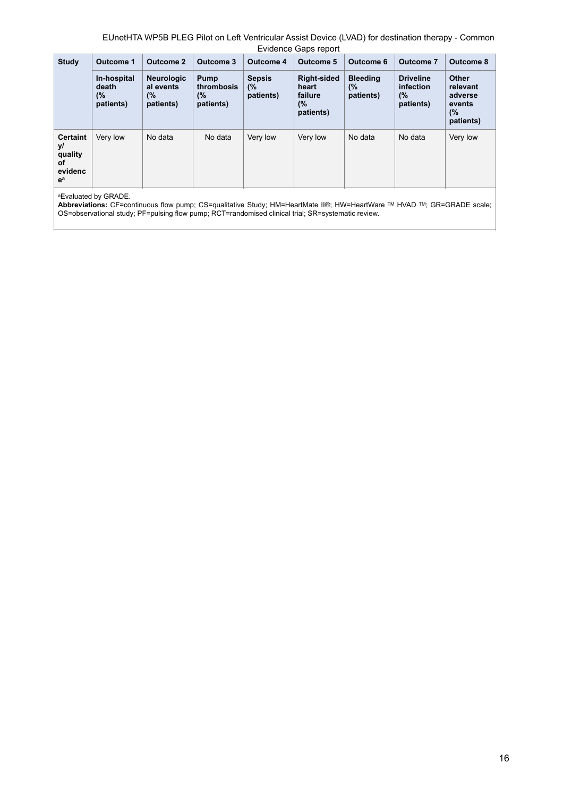|                                                            |                                         |                                                   |                                       |                                  | Linucrice Oups report                                     |                                    |                                                  |                                                                  |
|------------------------------------------------------------|-----------------------------------------|---------------------------------------------------|---------------------------------------|----------------------------------|-----------------------------------------------------------|------------------------------------|--------------------------------------------------|------------------------------------------------------------------|
| <b>Study</b>                                               | <b>Outcome 1</b>                        | <b>Outcome 2</b>                                  | Outcome 3                             | <b>Outcome 4</b>                 | Outcome 5                                                 | Outcome 6                          | Outcome 7                                        | <b>Outcome 8</b>                                                 |
|                                                            | In-hospital<br>death<br>(%<br>patients) | <b>Neurologic</b><br>al events<br>(%<br>patients) | Pump<br>thrombosis<br>(%<br>patients) | <b>Sepsis</b><br>(%<br>patients) | <b>Right-sided</b><br>heart<br>failure<br>(%<br>patients) | <b>Bleeding</b><br>(%<br>patients) | <b>Driveline</b><br>infection<br>(%<br>patients) | <b>Other</b><br>relevant<br>adverse<br>events<br>(%<br>patients) |
| <b>Certaint</b><br>уl<br>quality<br>οf<br>evidenc<br>$e^a$ | Very low                                | No data                                           | No data                               | Very low                         | Very low                                                  | No data                            | No data                                          | Very low                                                         |

aEvaluated by GRADE.

**Abbreviations:** CF=continuous flow pump; CS=qualitative Study; HM=HeartMate II®; HW=HeartWare TM HVAD TM; GR=GRADE scale; OS=observational study; PF=pulsing flow pump; RCT=randomised clinical trial; SR=systematic review.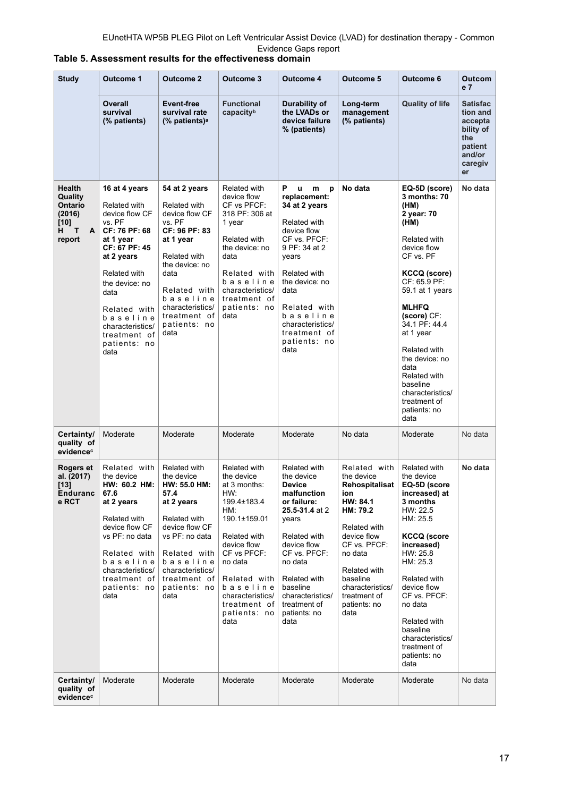| <b>Study</b>                                                                      | <b>Outcome 1</b><br><b>Outcome 2</b>                                                                                                                                                                                                                     |                                                                                                                                                                                                                           | Outcome 3                                                                                                                                                                                                                                | <b>Outcome 4</b>                                                                                                                                                                                                                                                    | Outcome 5                                                                                                                                                                                                                     | Outcome 6                                                                                                                                                                                                                                                                                                                                                        | Outcom<br>e 7                                                                                    |
|-----------------------------------------------------------------------------------|----------------------------------------------------------------------------------------------------------------------------------------------------------------------------------------------------------------------------------------------------------|---------------------------------------------------------------------------------------------------------------------------------------------------------------------------------------------------------------------------|------------------------------------------------------------------------------------------------------------------------------------------------------------------------------------------------------------------------------------------|---------------------------------------------------------------------------------------------------------------------------------------------------------------------------------------------------------------------------------------------------------------------|-------------------------------------------------------------------------------------------------------------------------------------------------------------------------------------------------------------------------------|------------------------------------------------------------------------------------------------------------------------------------------------------------------------------------------------------------------------------------------------------------------------------------------------------------------------------------------------------------------|--------------------------------------------------------------------------------------------------|
|                                                                                   | Overall<br>survival<br>(% patients)                                                                                                                                                                                                                      | Event-free<br>survival rate<br>(% patients) <sup>a</sup>                                                                                                                                                                  | <b>Functional</b><br>capacityb                                                                                                                                                                                                           | Durability of<br>the LVADs or<br>device failure<br>% (patients)                                                                                                                                                                                                     | Long-term<br>management<br>(% patients)                                                                                                                                                                                       | <b>Quality of life</b>                                                                                                                                                                                                                                                                                                                                           | <b>Satisfac</b><br>tion and<br>accepta<br>bility of<br>the<br>patient<br>and/or<br>caregiv<br>er |
| Health<br>Quality<br><b>Ontario</b><br>(2016)<br>$[10]$<br>т<br>H.<br>A<br>report | 16 at 4 years<br>Related with<br>device flow CF<br>vs. PF<br>CF: 76 PF: 68<br>at 1 year<br>CF: 67 PF: 45<br>at 2 years<br>Related with<br>the device: no<br>data<br>Related with<br>baseline<br>characteristics/<br>treatment of<br>patients: no<br>data | 54 at 2 years<br>Related with<br>device flow CF<br>vs. PF<br>CF: 96 PF: 83<br>at 1 year<br>Related with<br>the device: no<br>data<br>Related with<br>baseline<br>characteristics/<br>treatment of<br>patients: no<br>data | Related with<br>device flow<br>CF vs PFCF:<br>318 PF: 306 at<br>1 year<br>Related with<br>the device: no<br>data<br>Related with<br>baseline<br>characteristics/<br>treatment of<br>patients: no<br>data                                 | P<br><b>u</b><br>m<br>p<br>replacement:<br>34 at 2 years<br>Related with<br>device flow<br>CF vs. PFCF:<br>9 PF: 34 at 2<br>years<br>Related with<br>the device: no<br>data<br>Related with<br>baseline<br>characteristics/<br>treatment of<br>patients: no<br>data | No data                                                                                                                                                                                                                       | EQ-5D (score)<br>3 months: 70<br>(HM)<br>2 year: 70<br>(HM)<br>Related with<br>device flow<br>CF vs. PF<br><b>KCCQ (score)</b><br>CF: 65.9 PF:<br>59.1 at 1 years<br><b>MLHFQ</b><br>(score) CF:<br>34.1 PF: 44.4<br>at 1 year<br>Related with<br>the device: no<br>data<br>Related with<br>baseline<br>characteristics/<br>treatment of<br>patients: no<br>data | No data                                                                                          |
| Certainty/<br>quality of<br>evidence <sup>c</sup>                                 | Moderate                                                                                                                                                                                                                                                 | Moderate                                                                                                                                                                                                                  | Moderate                                                                                                                                                                                                                                 | Moderate                                                                                                                                                                                                                                                            | No data                                                                                                                                                                                                                       | Moderate                                                                                                                                                                                                                                                                                                                                                         | No data                                                                                          |
| Rogers et<br>al. (2017)<br>[13]<br>Enduranc<br>e RCT                              | Related with<br>the device<br>HW: 60.2 HM:<br>67.6<br>at 2 years<br>Related with<br>device flow CF<br>vs PF: no data<br>Related with<br>baseline<br>characteristics/<br>treatment of<br>patients: no<br>data                                             | Related with<br>the device<br>HW: 55.0 HM:<br>57.4<br>at 2 years<br>Related with<br>device flow CF<br>vs PF: no data<br>Related with<br>baseline<br>characteristics/<br>treatment of<br>patients: no<br>data              | Related with<br>the device<br>at 3 months:<br>HW:<br>199.4±183.4<br>HM:<br>190.1±159.01<br>Related with<br>device flow<br>CF vs PFCF:<br>no data<br>Related with<br>baseline<br>characteristics/<br>treatment of<br>patients: no<br>data | Related with<br>the device<br><b>Device</b><br>malfunction<br>or failure:<br>25.5-31.4 at 2<br>years<br>Related with<br>device flow<br>CF vs. PFCF:<br>no data<br><b>Related with</b><br>baseline<br>characteristics/<br>treatment of<br>patients: no<br>data       | Related with<br>the device<br>Rehospitalisat<br>ion<br>HW: 84.1<br>HM: 79.2<br>Related with<br>device flow<br>CF vs. PFCF:<br>no data<br>Related with<br>baseline<br>characteristics/<br>treatment of<br>patients: no<br>data | Related with<br>the device<br>EQ-5D (score<br>increased) at<br>3 months<br>HW: 22.5<br>HM: 25.5<br><b>KCCQ</b> (score<br>increased)<br>HW: 25.8<br>HM: 25.3<br>Related with<br>device flow<br>CF vs. PFCF:<br>no data<br>Related with<br>baseline<br>characteristics/<br>treatment of<br>patients: no<br>data                                                    | No data                                                                                          |
| Certainty/<br>quality of<br>evidence <sup>c</sup>                                 | Moderate                                                                                                                                                                                                                                                 | Moderate                                                                                                                                                                                                                  | Moderate                                                                                                                                                                                                                                 | Moderate                                                                                                                                                                                                                                                            | Moderate                                                                                                                                                                                                                      | Moderate                                                                                                                                                                                                                                                                                                                                                         | No data                                                                                          |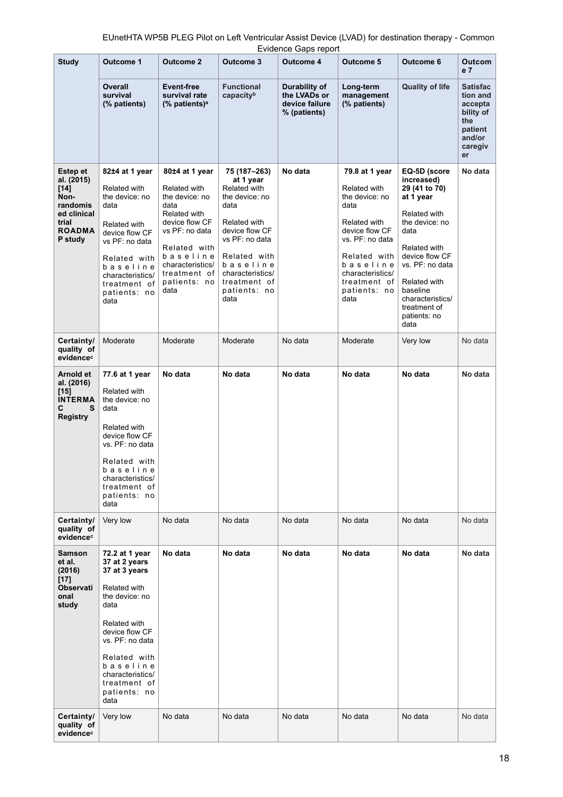|                                                                                                          |                                                                                                                                                                                                                                         |                                                                                                                                                                                                      |                                                                                                                                                                                                                 | Evidence Gaps report                                            |                                                                                                                                                                                                       |                                                                                                                                                                                                                                                 |                                                                                                  |
|----------------------------------------------------------------------------------------------------------|-----------------------------------------------------------------------------------------------------------------------------------------------------------------------------------------------------------------------------------------|------------------------------------------------------------------------------------------------------------------------------------------------------------------------------------------------------|-----------------------------------------------------------------------------------------------------------------------------------------------------------------------------------------------------------------|-----------------------------------------------------------------|-------------------------------------------------------------------------------------------------------------------------------------------------------------------------------------------------------|-------------------------------------------------------------------------------------------------------------------------------------------------------------------------------------------------------------------------------------------------|--------------------------------------------------------------------------------------------------|
| <b>Study</b>                                                                                             | <b>Outcome 1</b>                                                                                                                                                                                                                        | <b>Outcome 2</b>                                                                                                                                                                                     | <b>Outcome 3</b>                                                                                                                                                                                                | <b>Outcome 4</b>                                                | Outcome 5                                                                                                                                                                                             | Outcome 6                                                                                                                                                                                                                                       | Outcom<br>e <sub>7</sub>                                                                         |
|                                                                                                          | <b>Overall</b><br>survival<br>(% patients)                                                                                                                                                                                              | Event-free<br>survival rate<br>$%$ patients) <sup>a</sup>                                                                                                                                            | <b>Functional</b><br>capacityb                                                                                                                                                                                  | Durability of<br>the LVADs or<br>device failure<br>% (patients) | Long-term<br>management<br>(% patients)                                                                                                                                                               | <b>Quality of life</b>                                                                                                                                                                                                                          | <b>Satisfac</b><br>tion and<br>accepta<br>bility of<br>the<br>patient<br>and/or<br>caregiv<br>er |
| Estep et<br>al. (2015)<br>$[14]$<br>Non-<br>randomis<br>ed clinical<br>trial<br><b>ROADMA</b><br>P study | 82±4 at 1 year<br>Related with<br>the device: no<br>data<br>Related with<br>device flow CF<br>vs PF: no data<br>Related with<br>baseline<br>characteristics/<br>treatment of<br>patients: no<br>data                                    | 80±4 at 1 year<br>Related with<br>the device: no<br>data<br>Related with<br>device flow CF<br>vs PF: no data<br>Related with<br>baseline<br>characteristics/<br>treatment of<br>patients: no<br>data | 75 (187–263)<br>at 1 year<br>Related with<br>the device: no<br>data<br>Related with<br>device flow CF<br>vs PF: no data<br>Related with<br>baseline<br>characteristics/<br>treatment of<br>patients: no<br>data | No data                                                         | 79.8 at 1 year<br>Related with<br>the device: no<br>data<br>Related with<br>device flow CF<br>vs. PF: no data<br>Related with<br>baseline<br>characteristics/<br>treatment of<br>patients: no<br>data | EQ-5D (score<br>increased)<br>29 (41 to 70)<br>at 1 year<br>Related with<br>the device: no<br>data<br>Related with<br>device flow CF<br>vs. PF: no data<br>Related with<br>baseline<br>characteristics/<br>treatment of<br>patients: no<br>data | No data                                                                                          |
| Certainty/<br>quality of<br>evidencec                                                                    | Moderate                                                                                                                                                                                                                                | Moderate                                                                                                                                                                                             | Moderate                                                                                                                                                                                                        | No data                                                         | Moderate                                                                                                                                                                                              | Very low                                                                                                                                                                                                                                        | No data                                                                                          |
| Arnold et<br>al. (2016)<br>$[15]$<br><b>INTERMA</b><br>С<br>S<br><b>Registry</b>                         | 77.6 at 1 year<br>Related with<br>the device: no<br>data<br>Related with<br>device flow CF<br>vs. PF: no data<br>Related with<br>baseline<br>characteristics/<br>treatment of<br>patients: no<br>data                                   | No data                                                                                                                                                                                              | No data                                                                                                                                                                                                         | No data                                                         | No data                                                                                                                                                                                               | No data                                                                                                                                                                                                                                         | No data                                                                                          |
| Certainty/<br>quality of<br>evidencec                                                                    | Very low                                                                                                                                                                                                                                | No data                                                                                                                                                                                              | No data                                                                                                                                                                                                         | No data                                                         | No data                                                                                                                                                                                               | No data                                                                                                                                                                                                                                         | No data                                                                                          |
| Samson<br>et al.<br>(2016)<br>$[17]$<br><b>Observati</b><br>onal<br>study                                | 72.2 at 1 year<br>37 at 2 years<br>37 at 3 years<br>Related with<br>the device: no<br>data<br>Related with<br>device flow CF<br>vs. PF: no data<br>Related with<br>baseline<br>characteristics/<br>treatment of<br>patients: no<br>data | No data                                                                                                                                                                                              | No data                                                                                                                                                                                                         | No data                                                         | No data                                                                                                                                                                                               | No data                                                                                                                                                                                                                                         | No data                                                                                          |
| Certainty/<br>quality of<br>evidencec                                                                    | Very low                                                                                                                                                                                                                                | No data                                                                                                                                                                                              | No data                                                                                                                                                                                                         | No data                                                         | No data                                                                                                                                                                                               | No data                                                                                                                                                                                                                                         | No data                                                                                          |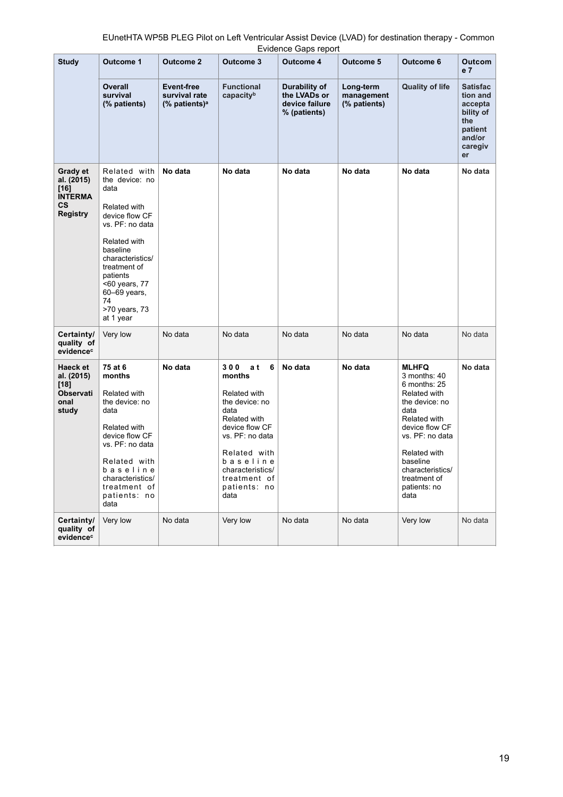| EUnetHTA WP5B PLEG Pilot on Left Ventricular Assist Device (LVAD) for destination therapy - Common |
|----------------------------------------------------------------------------------------------------|
| Evidence Gaps report                                                                               |

| <b>Study</b>                                                        | <b>Outcome 1</b>                                                                                                                                                                                                                             | <b>Outcome 2</b>                                                    | <b>Outcome 3</b>                                                                                                                                                                                                 | <b>Outcome 4</b>                                                | <b>Outcome 5</b>                        | Outcome 6                                                                                                                                                                                                                           | <b>Outcom</b><br>e <sub>7</sub>                                                                  |
|---------------------------------------------------------------------|----------------------------------------------------------------------------------------------------------------------------------------------------------------------------------------------------------------------------------------------|---------------------------------------------------------------------|------------------------------------------------------------------------------------------------------------------------------------------------------------------------------------------------------------------|-----------------------------------------------------------------|-----------------------------------------|-------------------------------------------------------------------------------------------------------------------------------------------------------------------------------------------------------------------------------------|--------------------------------------------------------------------------------------------------|
|                                                                     | Overall<br>survival<br>(% patients)                                                                                                                                                                                                          | Event-free<br>survival rate<br>$\frac{9}{6}$ patients) <sup>a</sup> | <b>Functional</b><br>capacityb                                                                                                                                                                                   | Durability of<br>the LVADs or<br>device failure<br>% (patients) | Long-term<br>management<br>(% patients) | <b>Quality of life</b>                                                                                                                                                                                                              | <b>Satisfac</b><br>tion and<br>accepta<br>bility of<br>the<br>patient<br>and/or<br>caregiv<br>er |
| Grady et<br>al. (2015)<br>[16]<br><b>INTERMA</b><br>СS<br>Registry  | Related with<br>the device: no<br>data<br>Related with<br>device flow CF<br>vs. PF: no data<br>Related with<br>baseline<br>characteristics/<br>treatment of<br>patients<br><60 years, 77<br>60-69 years,<br>74<br>>70 years, 73<br>at 1 year | No data                                                             | No data                                                                                                                                                                                                          | No data                                                         | No data                                 | No data                                                                                                                                                                                                                             | No data                                                                                          |
| Certainty/<br>quality of<br>evidence <sup>c</sup>                   | Very low                                                                                                                                                                                                                                     | No data                                                             | No data                                                                                                                                                                                                          | No data                                                         | No data                                 | No data                                                                                                                                                                                                                             | No data                                                                                          |
| Haeck et<br>al. (2015)<br>[18]<br><b>Observati</b><br>onal<br>study | 75 at 6<br>months<br>Related with<br>the device: no<br>data<br>Related with<br>device flow CF<br>vs. PF: no data<br>Related with<br>baseline<br>characteristics/<br>treatment of<br>patients: no<br>data                                     | No data                                                             | 300<br>a t<br>6<br>months<br>Related with<br>the device: no<br>data<br>Related with<br>device flow CF<br>vs. PF: no data<br>Related with<br>baseline<br>characteristics/<br>treatment of<br>patients: no<br>data | No data                                                         | No data                                 | <b>MLHFQ</b><br>3 months: 40<br>6 months: 25<br>Related with<br>the device: no<br>data<br>Related with<br>device flow CF<br>vs. PF: no data<br>Related with<br>baseline<br>characteristics/<br>treatment of<br>patients: no<br>data | No data                                                                                          |
| Certainty/<br>quality of<br>evidencec                               | Very low                                                                                                                                                                                                                                     | No data                                                             | Very low                                                                                                                                                                                                         | No data                                                         | No data                                 | Very low                                                                                                                                                                                                                            | No data                                                                                          |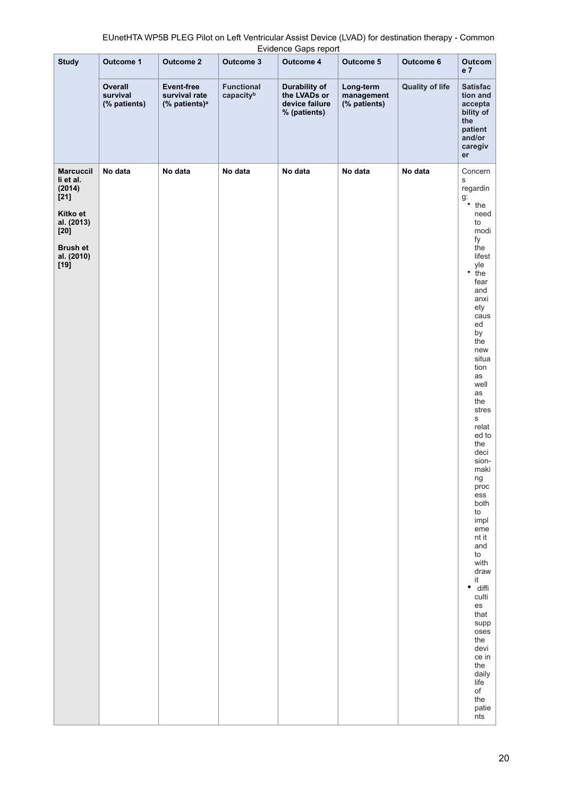| EUnetHTA WP5B PLEG Pilot on Left Ventricular Assist Device (LVAD) for destination therapy - Common |
|----------------------------------------------------------------------------------------------------|
| Evidence Gaps report                                                                               |

|                                                   |                                     |                                                                 |                                | <b>Exigence Oups report</b>                                            |                                         |                        |                                                                                                                                                                                                                                                                                                                                                                                                                                                               |
|---------------------------------------------------|-------------------------------------|-----------------------------------------------------------------|--------------------------------|------------------------------------------------------------------------|-----------------------------------------|------------------------|---------------------------------------------------------------------------------------------------------------------------------------------------------------------------------------------------------------------------------------------------------------------------------------------------------------------------------------------------------------------------------------------------------------------------------------------------------------|
| <b>Study</b>                                      | Outcome 1                           | <b>Outcome 2</b>                                                | Outcome 3                      | <b>Outcome 4</b>                                                       | Outcome 5                               | Outcome 6              | Outcom<br>e 7                                                                                                                                                                                                                                                                                                                                                                                                                                                 |
|                                                   | Overall<br>survival<br>(% patients) | <b>Event-free</b><br>survival rate<br>(% patients) <sup>a</sup> | <b>Functional</b><br>capacityb | <b>Durability of</b><br>the LVADs or<br>device failure<br>% (patients) | Long-term<br>management<br>(% patients) | <b>Quality of life</b> | <b>Satisfac</b><br>tion and<br>accepta<br>bility of<br>the<br>patient<br>and/or<br>caregiv<br>er                                                                                                                                                                                                                                                                                                                                                              |
| <b>Marcuccil</b><br>li et al.<br>(2014)<br>$[21]$ | No data                             | No data                                                         | No data                        | No data                                                                | No data                                 | No data                | Concern<br>s<br>regardin<br>$\begin{array}{c} \n\frac{1}{3} \\ \frac{1}{3} \\ \frac{1}{3} \\ \frac{1}{3} \\ \frac{1}{3} \\ \frac{1}{3} \\ \frac{1}{3} \\ \frac{1}{3} \\ \frac{1}{3} \\ \frac{1}{3} \\ \frac{1}{3} \\ \frac{1}{3} \\ \frac{1}{3} \\ \frac{1}{3} \\ \frac{1}{3} \\ \frac{1}{3} \\ \frac{1}{3} \\ \frac{1}{3} \\ \frac{1}{3} \\ \frac{1}{3} \\ \frac{1}{3} \\ \frac{1}{3} \\ \frac{1}{3} \\ \frac{1}{3} \\ \frac{1}{3} \\ \frac{1}{3} \\ \frac{$ |
| Kitko et<br>al. (2013)<br>$[20]$                  |                                     |                                                                 |                                |                                                                        |                                         |                        | need<br>to<br>modi                                                                                                                                                                                                                                                                                                                                                                                                                                            |
| <b>Brush et</b><br>al. (2010)<br>$[19]$           |                                     |                                                                 |                                |                                                                        |                                         |                        | fy<br>the<br>lifest<br>yle<br>٠<br>the<br>fear<br>and<br>anxi<br>ety<br>caus<br>ed<br>by<br>the<br>new<br>situa<br>tion<br>as<br>well<br>as<br>the<br>stres<br>S<br>relat<br>ed to<br>the<br>deci<br>sion-<br>maki<br>ng<br>proc<br>ess<br>both<br>to<br>impl<br>eme<br>nt it<br>and<br>to<br>with<br>draw<br>it<br>diffi<br>٠<br>culti<br>es<br>that<br>supp<br>oses<br>the<br>devi<br>ce in<br>the<br>daily<br>life<br>$\mathsf{of}$                        |
|                                                   |                                     |                                                                 |                                |                                                                        |                                         |                        | the<br>patie<br>nts                                                                                                                                                                                                                                                                                                                                                                                                                                           |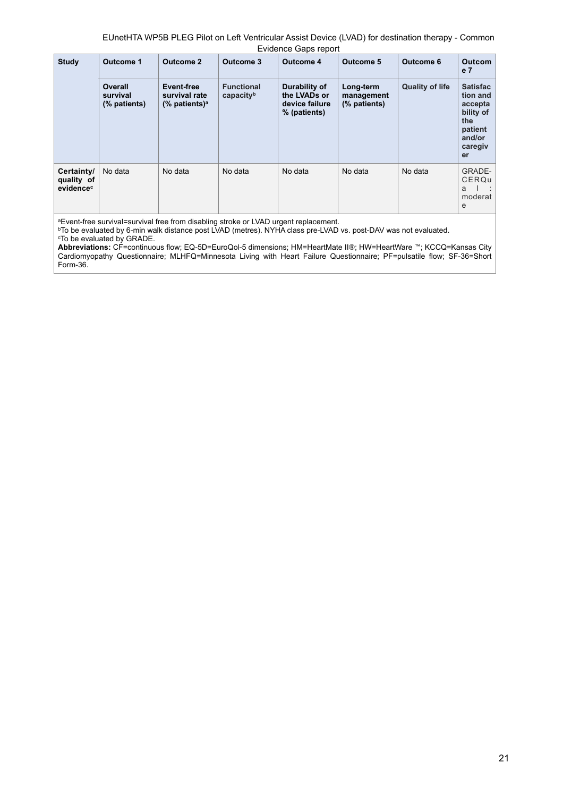| <b>Study</b>                          | Outcome 1                           | <b>Outcome 2</b>                                          | Outcome 3                      | Outcome 4                                                       | Outcome 5                               | Outcome 6              | <b>Outcom</b><br>e <sub>7</sub>                                                                  |
|---------------------------------------|-------------------------------------|-----------------------------------------------------------|--------------------------------|-----------------------------------------------------------------|-----------------------------------------|------------------------|--------------------------------------------------------------------------------------------------|
|                                       | Overall<br>survival<br>(% patients) | Event-free<br>survival rate<br>$%$ patients) <sup>a</sup> | <b>Functional</b><br>capacityb | Durability of<br>the LVADs or<br>device failure<br>% (patients) | Long-term<br>management<br>(% patients) | <b>Quality of life</b> | <b>Satisfac</b><br>tion and<br>accepta<br>bility of<br>the<br>patient<br>and/or<br>caregiv<br>er |
| Certainty/<br>quality of<br>evidencec | No data                             | No data                                                   | No data                        | No data                                                         | No data                                 | No data                | <b>GRADE-</b><br>CERQu<br>a<br>moderat<br>e                                                      |

aEvent-free survival=survival free from disabling stroke or LVAD urgent replacement.

bTo be evaluated by 6-min walk distance post LVAD (metres). NYHA class pre-LVAD vs. post-DAV was not evaluated. cTo be evaluated by GRADE.

**Abbreviations:** CF=continuous flow; EQ-5D=EuroQol-5 dimensions; HM=HeartMate II®; HW=HeartWare ™; KCCQ=Kansas City Cardiomyopathy Questionnaire; MLHFQ=Minnesota Living with Heart Failure Questionnaire; PF=pulsatile flow; SF-36=Short Form-36.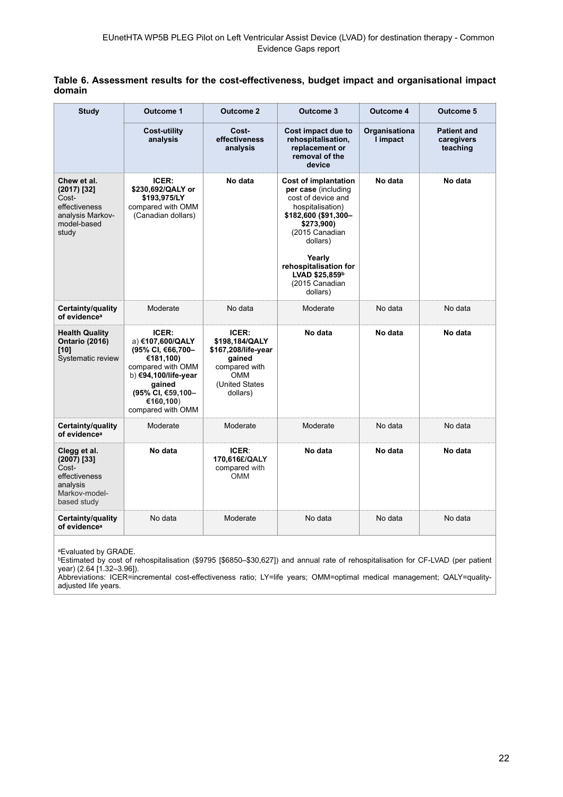|        |  |  |  | Table 6. Assessment results for the cost-effectiveness, budget impact and organisational impact |  |
|--------|--|--|--|-------------------------------------------------------------------------------------------------|--|
| domain |  |  |  |                                                                                                 |  |

| <b>Study</b>                                                                                        | <b>Outcome 1</b>                                                                                                                                                          | <b>Outcome 2</b>                                                                                                      | <b>Outcome 3</b>                                                                                                                                                                                                                                    | Outcome 4                 | <b>Outcome 5</b>                             |
|-----------------------------------------------------------------------------------------------------|---------------------------------------------------------------------------------------------------------------------------------------------------------------------------|-----------------------------------------------------------------------------------------------------------------------|-----------------------------------------------------------------------------------------------------------------------------------------------------------------------------------------------------------------------------------------------------|---------------------------|----------------------------------------------|
|                                                                                                     | <b>Cost-utility</b><br>analysis                                                                                                                                           | Cost-<br>effectiveness<br>analysis                                                                                    | <b>Cost impact due to</b><br>rehospitalisation,<br>replacement or<br>removal of the<br>device                                                                                                                                                       | Organisationa<br>I impact | <b>Patient and</b><br>caregivers<br>teaching |
| Chew et al.<br>$(2017)$ [32]<br>Cost-<br>effectiveness<br>analysis Markov-<br>model-based<br>study  | ICER:<br>\$230,692/QALY or<br>\$193,975/LY<br>compared with OMM<br>(Canadian dollars)                                                                                     | No data                                                                                                               | <b>Cost of implantation</b><br>per case (including<br>cost of device and<br>hospitalisation)<br>\$182,600 (\$91,300-<br>\$273,900)<br>(2015 Canadian<br>dollars)<br>Yearly<br>rehospitalisation for<br>LVAD \$25,859b<br>(2015 Canadian<br>dollars) | No data                   | No data                                      |
| Certainty/quality<br>of evidence <sup>a</sup>                                                       | Moderate                                                                                                                                                                  | No data                                                                                                               | Moderate                                                                                                                                                                                                                                            | No data                   | No data                                      |
| <b>Health Quality</b><br><b>Ontario (2016)</b><br>[10]<br>Systematic review                         | ICER:<br>a) €107,600/QALY<br>(95% CI, €66,700-<br>€181,100)<br>compared with OMM<br>b) €94,100/life-year<br>gained<br>(95% CI, €59,100-<br>€160,100)<br>compared with OMM | ICER:<br>\$198,184/QALY<br>\$167,208/life-year<br>gained<br>compared with<br><b>OMM</b><br>(United States<br>dollars) | No data                                                                                                                                                                                                                                             | No data                   | No data                                      |
| Certainty/quality<br>of evidence <sup>a</sup>                                                       | Moderate                                                                                                                                                                  | Moderate                                                                                                              | Moderate                                                                                                                                                                                                                                            | No data                   | No data                                      |
| Clegg et al.<br>$(2007)$ [33]<br>Cost-<br>effectiveness<br>analysis<br>Markov-model-<br>based study | No data                                                                                                                                                                   | <b>ICER:</b><br>170,616£/QALY<br>compared with<br><b>OMM</b>                                                          | No data                                                                                                                                                                                                                                             | No data                   | No data                                      |
| Certainty/quality<br>of evidence <sup>a</sup>                                                       | No data                                                                                                                                                                   | Moderate                                                                                                              | No data                                                                                                                                                                                                                                             | No data                   | No data                                      |

aEvaluated by GRADE.

bEstimated by cost of rehospitalisation (\$9795 [\$6850–\$30,627]) and annual rate of rehospitalisation for CF-LVAD (per patient year) (2.64 [1.32–3.96]).

Abbreviations: ICER=incremental cost-effectiveness ratio; LY=life years; OMM=optimal medical management; QALY=qualityadjusted life years.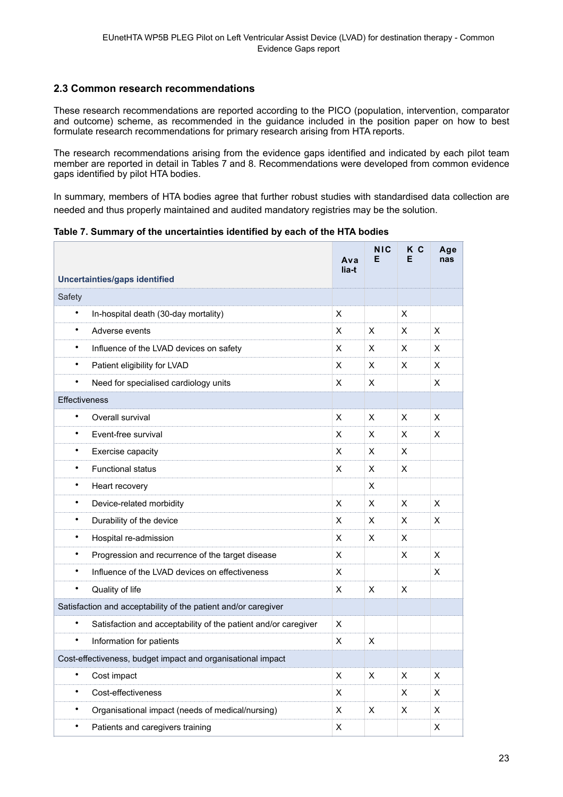## <span id="page-22-0"></span>**2.3 Common research recommendations**

These research recommendations are reported according to the PICO (population, intervention, comparator and outcome) scheme, as recommended in the guidance included in the position paper on how to best formulate research recommendations for primary research arising from HTA reports.

The research recommendations arising from the evidence gaps identified and indicated by each pilot team member are reported in detail in Tables 7 and 8. Recommendations were developed from common evidence gaps identified by pilot HTA bodies.

In summary, members of HTA bodies agree that further robust studies with standardised data collection are needed and thus properly maintained and audited mandatory registries may be the solution.

**Table 7. Summary of the uncertainties identified by each of the HTA bodies**

|                                                                             | Ava<br>lia-t | <b>NIC</b><br>Е | K C<br>Е | Age<br>nas |  |
|-----------------------------------------------------------------------------|--------------|-----------------|----------|------------|--|
| <b>Uncertainties/gaps identified</b>                                        |              |                 |          |            |  |
| Safety                                                                      |              |                 |          |            |  |
| $\bullet$<br>In-hospital death (30-day mortality)                           | X            |                 | X        |            |  |
| Adverse events<br>$\bullet$                                                 | X            | X               | X        | X          |  |
| $\bullet$<br>Influence of the LVAD devices on safety                        | X            | X               | X        | X          |  |
| Patient eligibility for LVAD<br>$\bullet$                                   | x            | X               | X        | X          |  |
| $\bullet$<br>Need for specialised cardiology units                          | x            | X               |          | X          |  |
| Effectiveness                                                               |              |                 |          |            |  |
| $\bullet$<br>Overall survival                                               | X            | X               | X        | X          |  |
| $\bullet$<br>Event-free survival                                            | X            | X               | X        | X          |  |
| Exercise capacity<br>$\bullet$                                              | X            | X               | X        |            |  |
| <b>Functional status</b><br>$\bullet$                                       | X            | X               | X        |            |  |
| $\bullet$<br>Heart recovery                                                 |              | X               |          |            |  |
| Device-related morbidity<br>$\bullet$                                       | X            | X               | X        | X          |  |
| Durability of the device<br>$\bullet$                                       | X            | X               | X        | X          |  |
| Hospital re-admission<br>$\bullet$                                          | X            | X               | X        |            |  |
| Progression and recurrence of the target disease<br>$\bullet$               | X            |                 | X        | X          |  |
| $\bullet$<br>Influence of the LVAD devices on effectiveness                 | X            |                 |          | X          |  |
| Quality of life<br>$\bullet$                                                | X            | X               | X        |            |  |
| Satisfaction and acceptability of the patient and/or caregiver              |              |                 |          |            |  |
| $\bullet$<br>Satisfaction and acceptability of the patient and/or caregiver | X.           |                 |          |            |  |
| $\bullet$<br>Information for patients                                       | X            | X               |          |            |  |
| Cost-effectiveness, budget impact and organisational impact                 |              |                 |          |            |  |
| $\bullet$<br>Cost impact                                                    | X            | X               | X        | X          |  |
| $\bullet$<br>Cost-effectiveness                                             | X            |                 | X        | X          |  |
| Organisational impact (needs of medical/nursing)<br>$\bullet$               | X            | X               | X        | X          |  |
| Patients and caregivers training<br>$\bullet$                               | X            |                 |          | X          |  |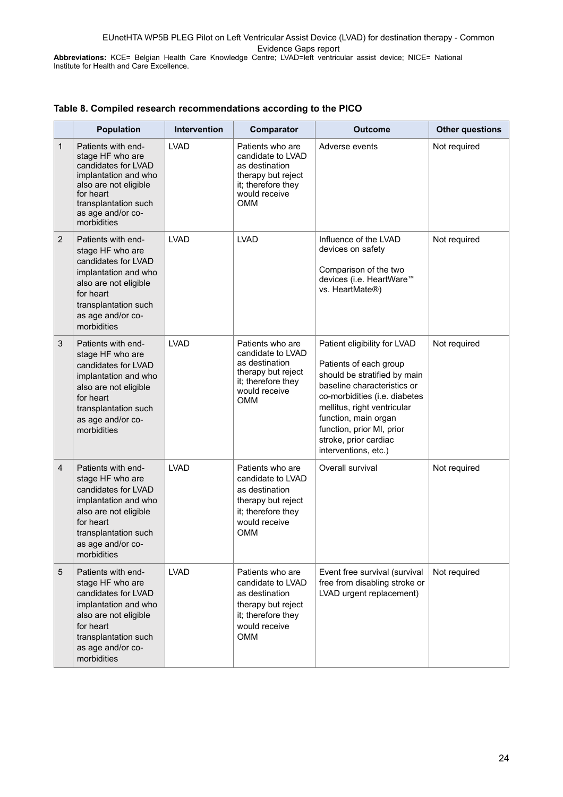**Abbreviations:** KCE= Belgian Health Care Knowledge Centre; LVAD=left ventricular assist device; NICE= National Institute for Health and Care Excellence.

|                | <b>Population</b>                                                                                                                                                                       | <b>Intervention</b> | Comparator                                                                                                                         | <b>Outcome</b>                                                                                                                                                                                                                                                                              | <b>Other questions</b> |
|----------------|-----------------------------------------------------------------------------------------------------------------------------------------------------------------------------------------|---------------------|------------------------------------------------------------------------------------------------------------------------------------|---------------------------------------------------------------------------------------------------------------------------------------------------------------------------------------------------------------------------------------------------------------------------------------------|------------------------|
| $\mathbf{1}$   | Patients with end-<br>stage HF who are<br>candidates for LVAD<br>implantation and who<br>also are not eligible<br>for heart<br>transplantation such<br>as age and/or co-<br>morbidities | <b>LVAD</b>         | Patients who are<br>candidate to LVAD<br>as destination<br>therapy but reject<br>it; therefore they<br>would receive<br><b>OMM</b> | Adverse events                                                                                                                                                                                                                                                                              | Not required           |
| $\overline{2}$ | Patients with end-<br>stage HF who are<br>candidates for LVAD<br>implantation and who<br>also are not eligible<br>for heart<br>transplantation such<br>as age and/or co-<br>morbidities | <b>LVAD</b>         | <b>LVAD</b>                                                                                                                        | Influence of the LVAD<br>devices on safety<br>Comparison of the two<br>devices (i.e. HeartWare™<br>vs. HeartMate®)                                                                                                                                                                          | Not required           |
| 3              | Patients with end-<br>stage HF who are<br>candidates for LVAD<br>implantation and who<br>also are not eligible<br>for heart<br>transplantation such<br>as age and/or co-<br>morbidities | <b>LVAD</b>         | Patients who are<br>candidate to LVAD<br>as destination<br>therapy but reject<br>it; therefore they<br>would receive<br><b>OMM</b> | Patient eligibility for LVAD<br>Patients of each group<br>should be stratified by main<br>baseline characteristics or<br>co-morbidities (i.e. diabetes<br>mellitus, right ventricular<br>function, main organ<br>function, prior MI, prior<br>stroke, prior cardiac<br>interventions, etc.) | Not required           |
| $\overline{4}$ | Patients with end-<br>stage HF who are<br>candidates for LVAD<br>implantation and who<br>also are not eligible<br>for heart<br>transplantation such<br>as age and/or co-<br>morbidities | <b>LVAD</b>         | Patients who are<br>candidate to LVAD<br>as destination<br>therapy but reject<br>it; therefore they<br>would receive<br><b>OMM</b> | Overall survival                                                                                                                                                                                                                                                                            | Not required           |
| 5              | Patients with end-<br>stage HF who are<br>candidates for LVAD<br>implantation and who<br>also are not eligible<br>for heart<br>transplantation such<br>as age and/or co-<br>morbidities | <b>LVAD</b>         | Patients who are<br>candidate to LVAD<br>as destination<br>therapy but reject<br>it; therefore they<br>would receive<br>OMM        | Event free survival (survival<br>free from disabling stroke or<br>LVAD urgent replacement)                                                                                                                                                                                                  | Not required           |

### **Table 8. Compiled research recommendations according to the PICO**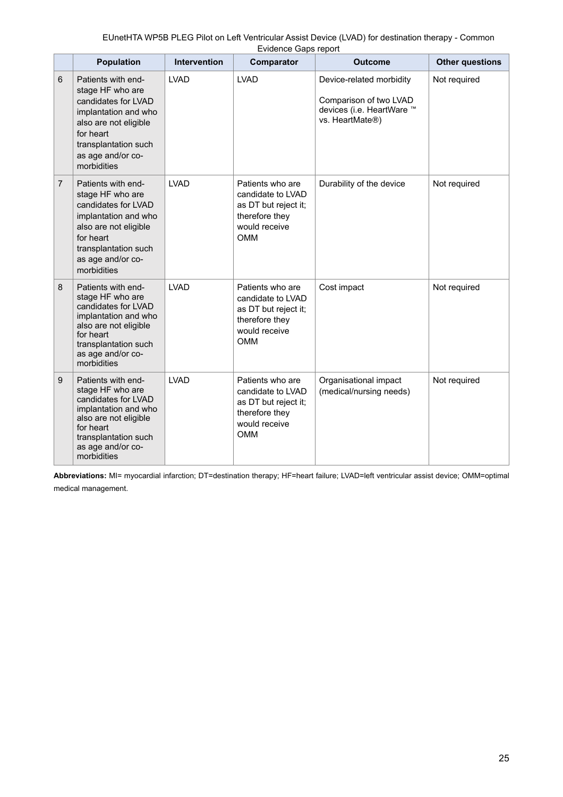|                | <b>Population</b>                                                                                                                                                                       | <b>Intervention</b> | Lindonoo Odpo Toport<br><b>Comparator</b>                                                                      | <b>Outcome</b>                                                                                     | <b>Other questions</b> |
|----------------|-----------------------------------------------------------------------------------------------------------------------------------------------------------------------------------------|---------------------|----------------------------------------------------------------------------------------------------------------|----------------------------------------------------------------------------------------------------|------------------------|
| 6              | Patients with end-<br>stage HF who are<br>candidates for LVAD<br>implantation and who<br>also are not eligible<br>for heart<br>transplantation such<br>as age and/or co-<br>morbidities | <b>LVAD</b>         | <b>LVAD</b>                                                                                                    | Device-related morbidity<br>Comparison of two LVAD<br>devices (i.e. HeartWare ™<br>vs. HeartMate®) | Not required           |
| $\overline{7}$ | Patients with end-<br>stage HF who are<br>candidates for LVAD<br>implantation and who<br>also are not eligible<br>for heart<br>transplantation such<br>as age and/or co-<br>morbidities | <b>LVAD</b>         | Patients who are<br>candidate to LVAD<br>as DT but reject it;<br>therefore they<br>would receive<br><b>OMM</b> | Durability of the device                                                                           | Not required           |
| 8              | Patients with end-<br>stage HF who are<br>candidates for LVAD<br>implantation and who<br>also are not eligible<br>for heart<br>transplantation such<br>as age and/or co-<br>morbidities | <b>LVAD</b>         | Patients who are<br>candidate to LVAD<br>as DT but reject it;<br>therefore they<br>would receive<br><b>OMM</b> | Cost impact                                                                                        | Not required           |
| 9              | Patients with end-<br>stage HF who are<br>candidates for LVAD<br>implantation and who<br>also are not eligible<br>for heart<br>transplantation such<br>as age and/or co-<br>morbidities | <b>LVAD</b>         | Patients who are<br>candidate to LVAD<br>as DT but reject it;<br>therefore they<br>would receive<br><b>OMM</b> | Organisational impact<br>(medical/nursing needs)                                                   | Not required           |

**Abbreviations:** MI= myocardial infarction; DT=destination therapy; HF=heart failure; LVAD=left ventricular assist device; OMM=optimal medical management.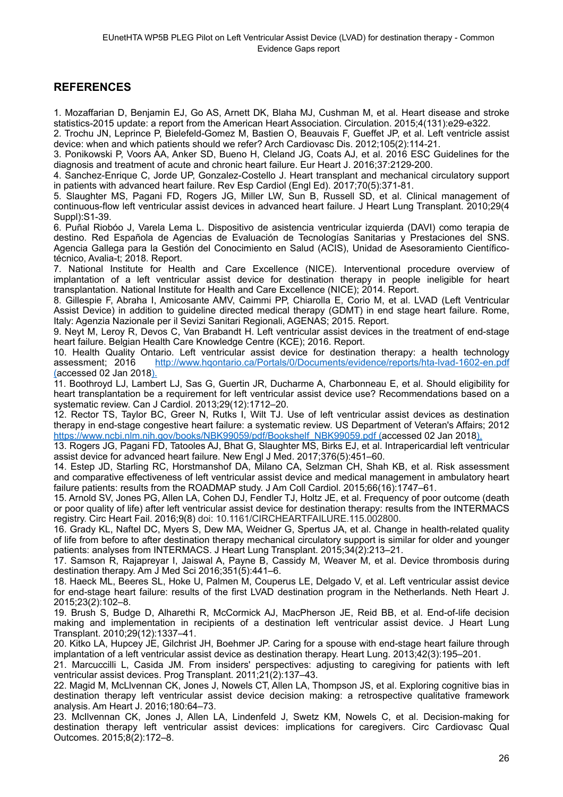## <span id="page-25-0"></span>**REFERENCES**

[1. Mozaffarian D, Benjamin EJ, Go AS, Arnett DK, Blaha MJ, Cushman M, et al. Heart disease and stroke](http://www.hqontario.ca/Portals/0/Documents/evidence/reports/hta-lvad-1602-en.pdf) [statistics-2015 update: a report from the American Heart Association. Circulation. 2015;4\(131\):e29-e322.](http://www.hqontario.ca/Portals/0/Documents/evidence/reports/hta-lvad-1602-en.pdf)

[2. Trochu JN, Leprince P, Bielefeld-Gomez M, Bastien O, Beauvais F, Gueffet JP, et al. Left ventricle assist](http://www.hqontario.ca/Portals/0/Documents/evidence/reports/hta-lvad-1602-en.pdf) [device: when and which patients should we refer? Arch Cardiovasc Dis. 2012;105\(2\):114-21.](http://www.hqontario.ca/Portals/0/Documents/evidence/reports/hta-lvad-1602-en.pdf)

[3. Ponikowski P, Voors AA, Anker SD, Bueno H, Cleland JG, Coats AJ, et al. 2016 ESC Guidelines for the](http://www.hqontario.ca/Portals/0/Documents/evidence/reports/hta-lvad-1602-en.pdf) [diagnosis and treatment of acute and chronic heart failure. Eur Heart J. 2016;37:2129-200.](http://www.hqontario.ca/Portals/0/Documents/evidence/reports/hta-lvad-1602-en.pdf)

[4. Sanchez-Enrique C, Jorde UP, Gonzalez-Costello J. Heart transplant and mechanical circulatory support](http://www.hqontario.ca/Portals/0/Documents/evidence/reports/hta-lvad-1602-en.pdf) [in patients with advanced heart failure. Rev Esp Cardiol \(Engl Ed\). 2017;70\(5\):371-81.](http://www.hqontario.ca/Portals/0/Documents/evidence/reports/hta-lvad-1602-en.pdf)

[5. Slaughter MS, Pagani FD, Rogers JG, Miller LW, Sun B, Russell SD, et al. Clinical management of](http://www.hqontario.ca/Portals/0/Documents/evidence/reports/hta-lvad-1602-en.pdf) continuous-flow left ventricular assist devices in advanced heart failure. J Heart Lung Transplant. 2010;29(4 [Suppl\):S1-39.](http://www.hqontario.ca/Portals/0/Documents/evidence/reports/hta-lvad-1602-en.pdf)

[6. Puñal Riobóo J, Varela Lema L. Dispositivo de asistencia ventricular izquierda \(DAVI\) como terapia de](http://www.hqontario.ca/Portals/0/Documents/evidence/reports/hta-lvad-1602-en.pdf) destino. Red Española de Agencias de Evaluación de Tecnologías Sanitarias y Prestaciones del SNS. Agencia Gallega para la Gestión del Conocimiento en Salud (ACIS), Unidad de Asesoramiento Científico[técnico, Avalia-t; 2018. Report.](http://www.hqontario.ca/Portals/0/Documents/evidence/reports/hta-lvad-1602-en.pdf)

[7. National Institute for Health and Care Excellence \(NICE\). Interventional procedure overview of](http://www.hqontario.ca/Portals/0/Documents/evidence/reports/hta-lvad-1602-en.pdf) implantation of a left ventricular assist device for destination therapy in people ineligible for heart [transplantation. National Institute for Health and Care Excellence \(NICE\); 2014. Report.](http://www.hqontario.ca/Portals/0/Documents/evidence/reports/hta-lvad-1602-en.pdf)

[8. Gillespie F, Abraha I, Amicosante AMV, Caimmi PP, Chiarolla E, Corio M, et al. LVAD \(Left Ventricular](http://www.hqontario.ca/Portals/0/Documents/evidence/reports/hta-lvad-1602-en.pdf) Assist Device) in addition to guideline directed medical therapy (GDMT) in end stage heart failure. Rome, [Italy: Agenzia Nazionale per il Sevizi Sanitari Regionali, AGENAS; 2015. Report.](http://www.hqontario.ca/Portals/0/Documents/evidence/reports/hta-lvad-1602-en.pdf)

[9. Neyt M, Leroy R, Devos C, Van Brabandt H. Left ventricular assist devices in the treatment of end-stage](http://www.hqontario.ca/Portals/0/Documents/evidence/reports/hta-lvad-1602-en.pdf) [heart failure. Belgian Health Care Knowledge Centre \(KCE\); 2016. Report.](http://www.hqontario.ca/Portals/0/Documents/evidence/reports/hta-lvad-1602-en.pdf)

[10. Health Quality Ontario. Left ventricular assist device for destination therapy: a health technology](http://www.hqontario.ca/Portals/0/Documents/evidence/reports/hta-lvad-1602-en.pdf) assessment; 2016 http://www.hqontario.ca/Portals/0/Documents/evidence/reports/hta-lvad-1602-en.pdf (accessed 02 Jan 2018).

11. Boothroyd LJ, Lambert LJ, Sas G, Guertin JR, Ducharme A, Charbonneau E, et al. Should eligibility for heart transplantation be a requirement for left ventricular assist device use? Recommendations based on a systematic review. Can J Cardiol. 2013;29(12):1712–20.

12. Rector TS, Taylor BC, Greer N, Rutks I, Wilt TJ. Use of left ventricular assist devices as destination therapy in end-stage congestive heart failure: a systematic review. US Department of Veteran's Affairs; 2012 [https://www.ncbi.nlm.nih.gov/books/NBK99059/pdf/Bookshelf\\_NBK99059.pdf](https://www.ncbi.nlm.nih.gov/books/NBK99059/pdf/Bookshelf_NBK99059.pdf) (accessed 02 Jan 2018).

13. Rogers JG, Pagani FD, Tatooles AJ, Bhat G, Slaughter MS, Birks EJ, et al. Intrapericardial left ventricular assist device for advanced heart failure. New Engl J Med. 2017;376(5):451–60.

14. Estep JD, Starling RC, Horstmanshof DA, Milano CA, Selzman CH, Shah KB, et al. Risk assessment and comparative effectiveness of left ventricular assist device and medical management in ambulatory heart failure patients: results from the ROADMAP study. J Am Coll Cardiol. 2015;66(16):1747–61.

15. Arnold SV, Jones PG, Allen LA, Cohen DJ, Fendler TJ, Holtz JE, et al. Frequency of poor outcome (death or poor quality of life) after left ventricular assist device for destination therapy: results from the INTERMACS registry. Circ Heart Fail. 2016;9(8) doi: 10.1161/CIRCHEARTFAILURE.115.002800.

16. Grady KL, Naftel DC, Myers S, Dew MA, Weidner G, Spertus JA, et al. Change in health-related quality of life from before to after destination therapy mechanical circulatory support is similar for older and younger patients: analyses from INTERMACS. J Heart Lung Transplant. 2015;34(2):213–21.

17. Samson R, Rajapreyar I, Jaiswal A, Payne B, Cassidy M, Weaver M, et al. Device thrombosis during destination therapy. Am J Med Sci 2016;351(5):441–6.

18. Haeck ML, Beeres SL, Hoke U, Palmen M, Couperus LE, Delgado V, et al. Left ventricular assist device for end-stage heart failure: results of the first LVAD destination program in the Netherlands. Neth Heart J. 2015;23(2):102–8.

19. Brush S, Budge D, Alharethi R, McCormick AJ, MacPherson JE, Reid BB, et al. End-of-life decision making and implementation in recipients of a destination left ventricular assist device. J Heart Lung Transplant. 2010;29(12):1337–41.

20. Kitko LA, Hupcey JE, Gilchrist JH, Boehmer JP. Caring for a spouse with end-stage heart failure through implantation of a left ventricular assist device as destination therapy. Heart Lung. 2013;42(3):195–201.

21. Marcuccilli L, Casida JM. From insiders' perspectives: adjusting to caregiving for patients with left ventricular assist devices. Prog Transplant. 2011;21(2):137–43.

22. Magid M, McLlvennan CK, Jones J, Nowels CT, Allen LA, Thompson JS, et al. Exploring cognitive bias in destination therapy left ventricular assist device decision making: a retrospective qualitative framework analysis. Am Heart J. 2016;180:64–73.

23. McIlvennan CK, Jones J, Allen LA, Lindenfeld J, Swetz KM, Nowels C, et al. Decision-making for destination therapy left ventricular assist devices: implications for caregivers. Circ Cardiovasc Qual Outcomes. 2015;8(2):172–8.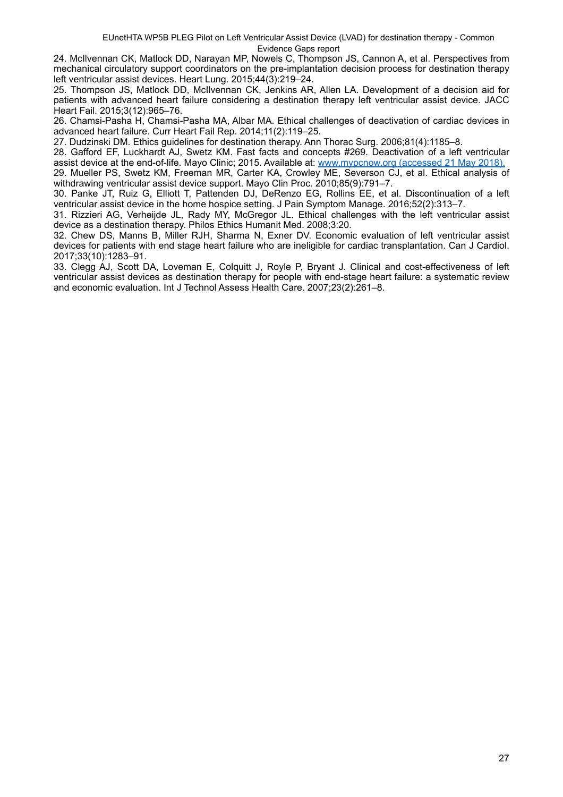24. McIlvennan CK, Matlock DD, Narayan MP, Nowels C, Thompson JS, Cannon A, et al. Perspectives from mechanical circulatory support coordinators on the pre-implantation decision process for destination therapy left ventricular assist devices. Heart Lung. 2015;44(3):219–24.

25. Thompson JS, Matlock DD, McIlvennan CK, Jenkins AR, Allen LA. Development of a decision aid for patients with advanced heart failure considering a destination therapy left ventricular assist device. JACC Heart Fail. 2015;3(12):965–76.

26. Chamsi-Pasha H, Chamsi-Pasha MA, Albar MA. Ethical challenges of deactivation of cardiac devices in advanced heart failure. Curr Heart Fail Rep. 2014;11(2):119–25.

27. Dudzinski DM. Ethics guidelines for destination therapy. Ann Thorac Surg. 2006;81(4):1185–8.

28. Gafford EF, Luckhardt AJ, Swetz KM. Fast facts and concepts #269. Deactivation of a left ventricular assist device at the end-of-life. Mayo Clinic; 2015. Available at: www.mypcnow.org (accessed 21 May 2018).

29. Mueller PS, Swetz KM, Freeman MR, Carter KA, Crowley ME, Severson CJ, et al. Ethical analysis of withdrawing ventricular assist device support. Mayo Clin Proc. 2010;85(9):791–7.

30. Panke JT, Ruiz G, Elliott T, Pattenden DJ, DeRenzo EG, Rollins EE, et al. Discontinuation of a left ventricular assist device in the home hospice setting. J Pain Symptom Manage. 2016;52(2):313–7.

31. Rizzieri AG, Verheijde JL, Rady MY, McGregor JL. Ethical challenges with the left ventricular assist device as a destination therapy. Philos Ethics Humanit Med. 2008;3:20.

32. Chew DS, Manns B, Miller RJH, Sharma N, Exner DV. Economic evaluation of left ventricular assist devices for patients with end stage heart failure who are ineligible for cardiac transplantation. Can J Cardiol. 2017;33(10):1283–91.

33. Clegg AJ, Scott DA, Loveman E, Colquitt J, Royle P, Bryant J. Clinical and cost-effectiveness of left ventricular assist devices as destination therapy for people with end-stage heart failure: a systematic review and economic evaluation. Int J Technol Assess Health Care. 2007;23(2):261–8.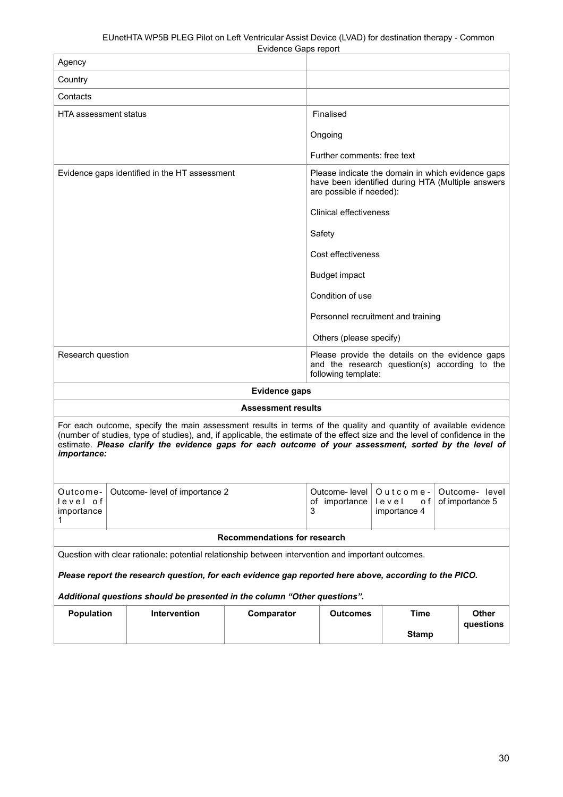|                                                                                                                                                                                                                                                                                                                                                                           |                                |                     | Exinerice Odpo report                |                                                                                                                                    |              |  |              |
|---------------------------------------------------------------------------------------------------------------------------------------------------------------------------------------------------------------------------------------------------------------------------------------------------------------------------------------------------------------------------|--------------------------------|---------------------|--------------------------------------|------------------------------------------------------------------------------------------------------------------------------------|--------------|--|--------------|
| Agency                                                                                                                                                                                                                                                                                                                                                                    |                                |                     |                                      |                                                                                                                                    |              |  |              |
| Country                                                                                                                                                                                                                                                                                                                                                                   |                                |                     |                                      |                                                                                                                                    |              |  |              |
| Contacts                                                                                                                                                                                                                                                                                                                                                                  |                                |                     |                                      |                                                                                                                                    |              |  |              |
| <b>HTA assessment status</b>                                                                                                                                                                                                                                                                                                                                              |                                |                     | Finalised                            |                                                                                                                                    |              |  |              |
|                                                                                                                                                                                                                                                                                                                                                                           |                                |                     |                                      | Ongoing                                                                                                                            |              |  |              |
|                                                                                                                                                                                                                                                                                                                                                                           |                                |                     |                                      | Further comments: free text                                                                                                        |              |  |              |
| Evidence gaps identified in the HT assessment                                                                                                                                                                                                                                                                                                                             |                                |                     |                                      | Please indicate the domain in which evidence gaps<br>have been identified during HTA (Multiple answers<br>are possible if needed): |              |  |              |
|                                                                                                                                                                                                                                                                                                                                                                           |                                |                     |                                      | <b>Clinical effectiveness</b>                                                                                                      |              |  |              |
|                                                                                                                                                                                                                                                                                                                                                                           |                                |                     |                                      | Safety                                                                                                                             |              |  |              |
|                                                                                                                                                                                                                                                                                                                                                                           |                                |                     |                                      | Cost effectiveness                                                                                                                 |              |  |              |
|                                                                                                                                                                                                                                                                                                                                                                           |                                |                     |                                      | <b>Budget impact</b>                                                                                                               |              |  |              |
|                                                                                                                                                                                                                                                                                                                                                                           |                                | Condition of use    |                                      |                                                                                                                                    |              |  |              |
|                                                                                                                                                                                                                                                                                                                                                                           |                                |                     | Personnel recruitment and training   |                                                                                                                                    |              |  |              |
|                                                                                                                                                                                                                                                                                                                                                                           |                                |                     | Others (please specify)              |                                                                                                                                    |              |  |              |
| Research question                                                                                                                                                                                                                                                                                                                                                         |                                |                     |                                      | Please provide the details on the evidence gaps<br>and the research question(s) according to the<br>following template:            |              |  |              |
| <b>Evidence gaps</b>                                                                                                                                                                                                                                                                                                                                                      |                                |                     |                                      |                                                                                                                                    |              |  |              |
| <b>Assessment results</b>                                                                                                                                                                                                                                                                                                                                                 |                                |                     |                                      |                                                                                                                                    |              |  |              |
| For each outcome, specify the main assessment results in terms of the quality and quantity of available evidence<br>(number of studies, type of studies), and, if applicable, the estimate of the effect size and the level of confidence in the<br>estimate. Please clarify the evidence gaps for each outcome of your assessment, sorted by the level of<br>importance: |                                |                     |                                      |                                                                                                                                    |              |  |              |
| Outcome-<br>level of<br>importance<br>1                                                                                                                                                                                                                                                                                                                                   | Outcome- level of importance 2 |                     | Outcome- level<br>of importance<br>3 | Outcome-<br>Outcome- level<br>of importance 5<br>level<br>o f<br>importance 4                                                      |              |  |              |
| <b>Recommendations for research</b>                                                                                                                                                                                                                                                                                                                                       |                                |                     |                                      |                                                                                                                                    |              |  |              |
| Question with clear rationale: potential relationship between intervention and important outcomes.                                                                                                                                                                                                                                                                        |                                |                     |                                      |                                                                                                                                    |              |  |              |
| Please report the research question, for each evidence gap reported here above, according to the PICO.                                                                                                                                                                                                                                                                    |                                |                     |                                      |                                                                                                                                    |              |  |              |
| Additional questions should be presented in the column "Other questions".                                                                                                                                                                                                                                                                                                 |                                |                     |                                      |                                                                                                                                    |              |  |              |
| <b>Population</b>                                                                                                                                                                                                                                                                                                                                                         |                                | <b>Intervention</b> | Comparator                           | <b>Outcomes</b>                                                                                                                    | <b>Time</b>  |  | <b>Other</b> |
|                                                                                                                                                                                                                                                                                                                                                                           |                                |                     |                                      |                                                                                                                                    | <b>Stamp</b> |  | questions    |